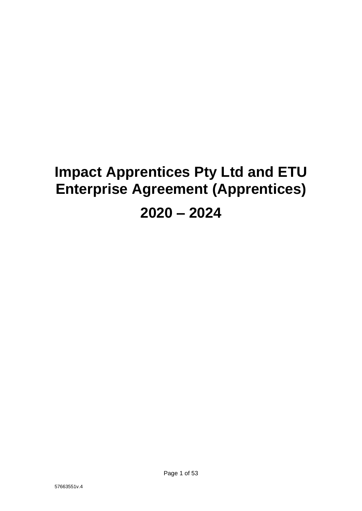# **Impact Apprentices Pty Ltd and ETU Enterprise Agreement (Apprentices) 2020 – 2024**

57663551v.4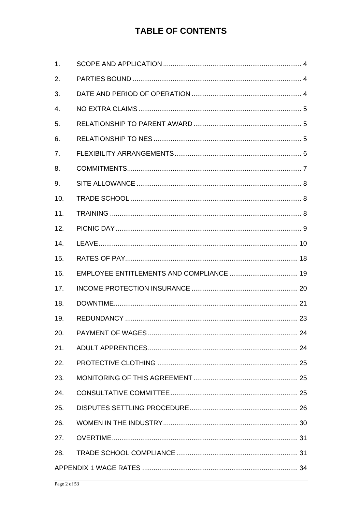## **TABLE OF CONTENTS**

| 1.             |  |
|----------------|--|
| 2.             |  |
| 3.             |  |
| $\mathbf{4}$ . |  |
| 5.             |  |
| 6.             |  |
| 7.             |  |
| 8.             |  |
| 9.             |  |
| 10.            |  |
| 11.            |  |
| 12.            |  |
| 14.            |  |
| 15.            |  |
| 16.            |  |
| 17.            |  |
| 18.            |  |
| 19.            |  |
|                |  |
| 21.            |  |
| 22.            |  |
| 23.            |  |
| 24.            |  |
| 25.            |  |
| 26.            |  |
| 27.            |  |
| 28.            |  |
|                |  |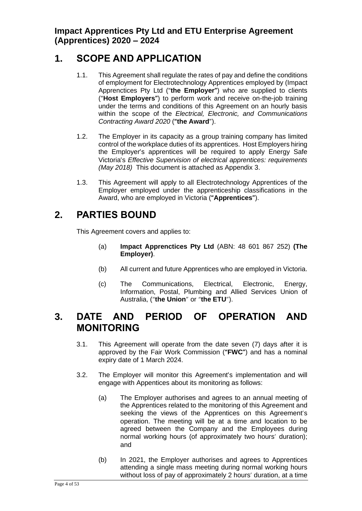**Impact Apprentices Pty Ltd and ETU Enterprise Agreement (Apprentices) 2020 – 2024**

## <span id="page-3-0"></span>**1. SCOPE AND APPLICATION**

- 1.1. This Agreement shall regulate the rates of pay and define the conditions of employment for Electrotechnology Apprentices employed by (Impact Apprenctices Pty Ltd ("**the Employer"**) who are supplied to clients ("**Host Employers"**) to perform work and receive on-the-job training under the terms and conditions of this Agreement on an hourly basis within the scope of the *Electrical, Electronic, and Communications Contracting Award 2020* (**"the Award**").
- 1.2. The Employer in its capacity as a group training company has limited control of the workplace duties of its apprentices. Host Employers hiring the Employer's apprentices will be required to apply Energy Safe Victoria's *Effective Supervision of electrical apprentices: requirements (May 2018)* This document is attached as Appendix 3.
- 1.3. This Agreement will apply to all Electrotechnology Apprentices of the Employer employed under the apprenticeship classifications in the Award, who are employed in Victoria (**"Apprentices"**).

## <span id="page-3-1"></span>**2. PARTIES BOUND**

This Agreement covers and applies to:

- (a) **Impact Apprenctices Pty Ltd** (ABN: 48 601 867 252) **(The Employer)**.
- (b) All current and future Apprentices who are employed in Victoria.
- (c) The Communications, Electrical, Electronic, Energy, Information, Postal, Plumbing and Allied Services Union of Australia, ("**the Union**" or "**the ETU**").

## <span id="page-3-2"></span>**3. DATE AND PERIOD OF OPERATION AND MONITORING**

- 3.1. This Agreement will operate from the date seven (7) days after it is approved by the Fair Work Commission (**"FWC"**) and has a nominal expiry date of 1 March 2024.
- 3.2. The Employer will monitor this Agreement's implementation and will engage with Appentices about its monitoring as follows:
	- (a) The Employer authorises and agrees to an annual meeting of the Apprentices related to the monitoring of this Agreement and seeking the views of the Apprentices on this Agreement's operation. The meeting will be at a time and location to be agreed between the Company and the Employees during normal working hours (of approximately two hours' duration); and
	- (b) In 2021, the Employer authorises and agrees to Apprentices attending a single mass meeting during normal working hours without loss of pay of approximately 2 hours' duration, at a time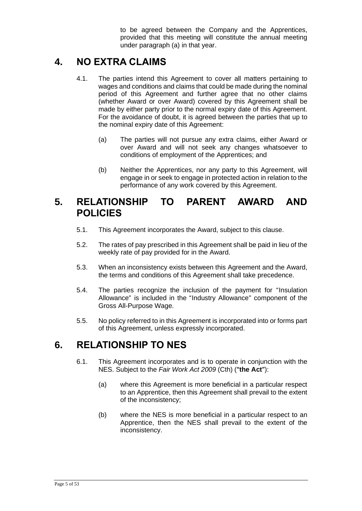to be agreed between the Company and the Apprentices, provided that this meeting will constitute the annual meeting under paragraph (a) in that year.

## <span id="page-4-0"></span>**4. NO EXTRA CLAIMS**

- 4.1. The parties intend this Agreement to cover all matters pertaining to wages and conditions and claims that could be made during the nominal period of this Agreement and further agree that no other claims (whether Award or over Award) covered by this Agreement shall be made by either party prior to the normal expiry date of this Agreement. For the avoidance of doubt, it is agreed between the parties that up to the nominal expiry date of this Agreement:
	- (a) The parties will not pursue any extra claims, either Award or over Award and will not seek any changes whatsoever to conditions of employment of the Apprentices; and
	- (b) Neither the Apprentices, nor any party to this Agreement, will engage in or seek to engage in protected action in relation to the performance of any work covered by this Agreement.

## <span id="page-4-1"></span>**5. RELATIONSHIP TO PARENT AWARD AND POLICIES**

- 5.1. This Agreement incorporates the Award, subject to this clause.
- 5.2. The rates of pay prescribed in this Agreement shall be paid in lieu of the weekly rate of pay provided for in the Award.
- 5.3. When an inconsistency exists between this Agreement and the Award, the terms and conditions of this Agreement shall take precedence.
- 5.4. The parties recognize the inclusion of the payment for "Insulation Allowance" is included in the "Industry Allowance" component of the Gross All-Purpose Wage.
- 5.5. No policy referred to in this Agreement is incorporated into or forms part of this Agreement, unless expressly incorporated.

## <span id="page-4-2"></span>**6. RELATIONSHIP TO NES**

- 6.1. This Agreement incorporates and is to operate in conjunction with the NES. Subject to the *Fair Work Act 2009* (Cth) (**"the Act"**):
	- (a) where this Agreement is more beneficial in a particular respect to an Apprentice, then this Agreement shall prevail to the extent of the inconsistency;
	- (b) where the NES is more beneficial in a particular respect to an Apprentice, then the NES shall prevail to the extent of the inconsistency.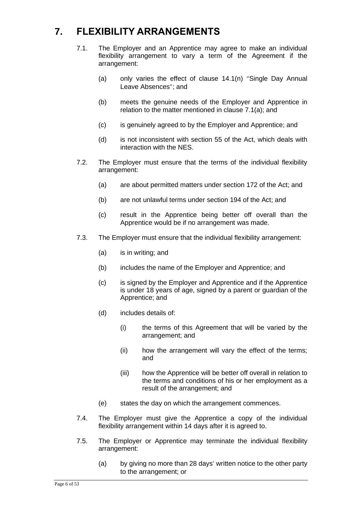## <span id="page-5-0"></span>**7. FLEXIBILITY ARRANGEMENTS**

- 7.1. The Employer and an Apprentice may agree to make an individual flexibility arrangement to vary a term of the Agreement if the arrangement:
	- (a) only varies the effect of clause 14.1(n) "Single Day Annual Leave Absences"; and
	- (b) meets the genuine needs of the Employer and Apprentice in relation to the matter mentioned in clause 7.1(a); and
	- (c) is genuinely agreed to by the Employer and Apprentice; and
	- (d) is not inconsistent with section 55 of the Act, which deals with interaction with the NES.
- 7.2. The Employer must ensure that the terms of the individual flexibility arrangement:
	- (a) are about permitted matters under section 172 of the Act; and
	- (b) are not unlawful terms under section 194 of the Act; and
	- (c) result in the Apprentice being better off overall than the Apprentice would be if no arrangement was made.
- 7.3. The Employer must ensure that the individual flexibility arrangement:
	- (a) is in writing; and
	- (b) includes the name of the Employer and Apprentice; and
	- (c) is signed by the Employer and Apprentice and if the Apprentice is under 18 years of age, signed by a parent or guardian of the Apprentice; and
	- (d) includes details of:
		- (i) the terms of this Agreement that will be varied by the arrangement; and
		- (ii) how the arrangement will vary the effect of the terms; and
		- (iii) how the Apprentice will be better off overall in relation to the terms and conditions of his or her employment as a result of the arrangement; and
	- (e) states the day on which the arrangement commences.
- 7.4. The Employer must give the Apprentice a copy of the individual flexibility arrangement within 14 days after it is agreed to.
- 7.5. The Employer or Apprentice may terminate the individual flexibility arrangement:
	- (a) by giving no more than 28 days' written notice to the other party to the arrangement; or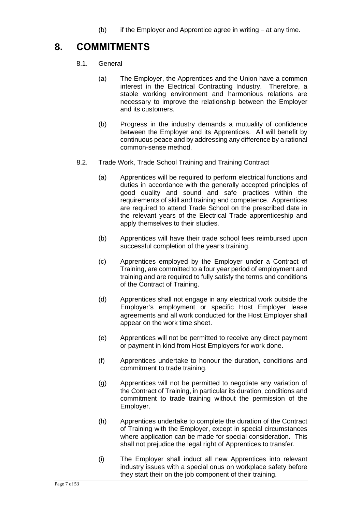(b) if the Employer and Apprentice agree in writing  $-$  at any time.

## <span id="page-6-0"></span>**8. COMMITMENTS**

- 8.1. General
	- (a) The Employer, the Apprentices and the Union have a common interest in the Electrical Contracting Industry. Therefore, a stable working environment and harmonious relations are necessary to improve the relationship between the Employer and its customers.
	- (b) Progress in the industry demands a mutuality of confidence between the Employer and its Apprentices. All will benefit by continuous peace and by addressing any difference by a rational common-sense method.
- 8.2. Trade Work, Trade School Training and Training Contract
	- (a) Apprentices will be required to perform electrical functions and duties in accordance with the generally accepted principles of good quality and sound and safe practices within the requirements of skill and training and competence. Apprentices are required to attend Trade School on the prescribed date in the relevant years of the Electrical Trade apprenticeship and apply themselves to their studies.
	- (b) Apprentices will have their trade school fees reimbursed upon successful completion of the year's training.
	- (c) Apprentices employed by the Employer under a Contract of Training, are committed to a four year period of employment and training and are required to fully satisfy the terms and conditions of the Contract of Training.
	- (d) Apprentices shall not engage in any electrical work outside the Employer's employment or specific Host Employer lease agreements and all work conducted for the Host Employer shall appear on the work time sheet.
	- (e) Apprentices will not be permitted to receive any direct payment or payment in kind from Host Employers for work done.
	- (f) Apprentices undertake to honour the duration, conditions and commitment to trade training.
	- (g) Apprentices will not be permitted to negotiate any variation of the Contract of Training, in particular its duration, conditions and commitment to trade training without the permission of the Employer.
	- (h) Apprentices undertake to complete the duration of the Contract of Training with the Employer, except in special circumstances where application can be made for special consideration. This shall not prejudice the legal right of Apprentices to transfer.
	- (i) The Employer shall induct all new Apprentices into relevant industry issues with a special onus on workplace safety before they start their on the job component of their training.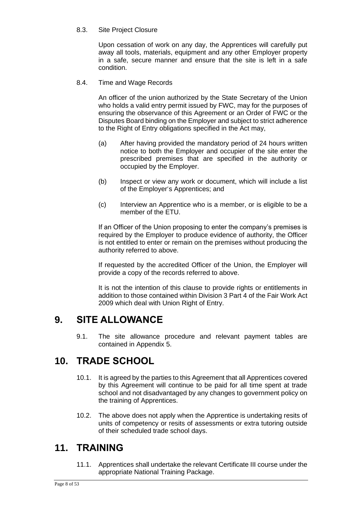8.3. Site Project Closure

Upon cessation of work on any day, the Apprentices will carefully put away all tools, materials, equipment and any other Employer property in a safe, secure manner and ensure that the site is left in a safe condition.

8.4. Time and Wage Records

An officer of the union authorized by the State Secretary of the Union who holds a valid entry permit issued by FWC, may for the purposes of ensuring the observance of this Agreement or an Order of FWC or the Disputes Board binding on the Employer and subject to strict adherence to the Right of Entry obligations specified in the Act may,

- (a) After having provided the mandatory period of 24 hours written notice to both the Employer and occupier of the site enter the prescribed premises that are specified in the authority or occupied by the Employer.
- (b) Inspect or view any work or document, which will include a list of the Employer's Apprentices; and
- (c) Interview an Apprentice who is a member, or is eligible to be a member of the ETU.

If an Officer of the Union proposing to enter the company's premises is required by the Employer to produce evidence of authority, the Officer is not entitled to enter or remain on the premises without producing the authority referred to above.

If requested by the accredited Officer of the Union, the Employer will provide a copy of the records referred to above.

It is not the intention of this clause to provide rights or entitlements in addition to those contained within Division 3 Part 4 of the Fair Work Act 2009 which deal with Union Right of Entry.

## <span id="page-7-0"></span>**9. SITE ALLOWANCE**

9.1. The site allowance procedure and relevant payment tables are contained in Appendix 5.

## <span id="page-7-1"></span>**10. TRADE SCHOOL**

- 10.1. It is agreed by the parties to this Agreement that all Apprentices covered by this Agreement will continue to be paid for all time spent at trade school and not disadvantaged by any changes to government policy on the training of Apprentices.
- 10.2. The above does not apply when the Apprentice is undertaking resits of units of competency or resits of assessments or extra tutoring outside of their scheduled trade school days.

## <span id="page-7-2"></span>**11. TRAINING**

11.1. Apprentices shall undertake the relevant Certificate III course under the appropriate National Training Package.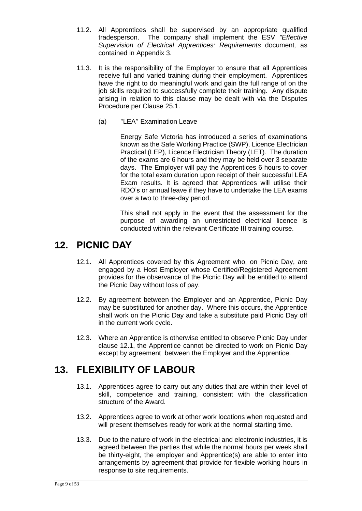- 11.2. All Apprentices shall be supervised by an appropriate qualified tradesperson. The company shall implement the ESV *"Effective Supervision of Electrical Apprentices: Requirements* document*,* as contained in Appendix 3.
- 11.3. It is the responsibility of the Employer to ensure that all Apprentices receive full and varied training during their employment. Apprentices have the right to do meaningful work and gain the full range of on the job skills required to successfully complete their training. Any dispute arising in relation to this clause may be dealt with via the Disputes Procedure per Clause 25.1.
	- (a) "LEA" Examination Leave

Energy Safe Victoria has introduced a series of examinations known as the Safe Working Practice (SWP), Licence Electrician Practical (LEP), Licence Electrician Theory (LET). The duration of the exams are 6 hours and they may be held over 3 separate days. The Employer will pay the Apprentices 6 hours to cover for the total exam duration upon receipt of their successful LEA Exam results. It is agreed that Apprentices will utilise their RDO's or annual leave if they have to undertake the LEA exams over a two to three-day period.

This shall not apply in the event that the assessment for the purpose of awarding an unrestricted electrical licence is conducted within the relevant Certificate III training course.

### <span id="page-8-0"></span>**12. PICNIC DAY**

- 12.1. All Apprentices covered by this Agreement who, on Picnic Day, are engaged by a Host Employer whose Certified/Registered Agreement provides for the observance of the Picnic Day will be entitled to attend the Picnic Day without loss of pay.
- 12.2. By agreement between the Employer and an Apprentice, Picnic Day may be substituted for another day. Where this occurs, the Apprentice shall work on the Picnic Day and take a substitute paid Picnic Day off in the current work cycle.
- 12.3. Where an Apprentice is otherwise entitled to observe Picnic Day under clause 12.1, the Apprentice cannot be directed to work on Picnic Day except by agreement between the Employer and the Apprentice.

## **13. FLEXIBILITY OF LABOUR**

- 13.1. Apprentices agree to carry out any duties that are within their level of skill, competence and training, consistent with the classification structure of the Award.
- 13.2. Apprentices agree to work at other work locations when requested and will present themselves ready for work at the normal starting time.
- 13.3. Due to the nature of work in the electrical and electronic industries, it is agreed between the parties that while the normal hours per week shall be thirty-eight, the employer and Apprentice(s) are able to enter into arrangements by agreement that provide for flexible working hours in response to site requirements.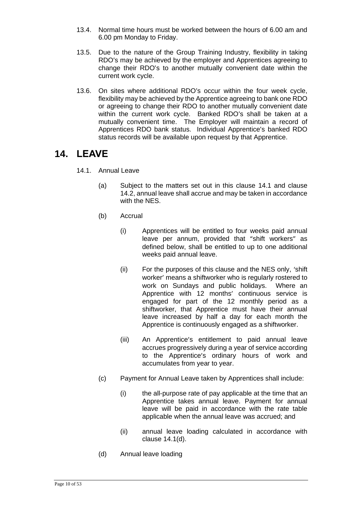- 13.4. Normal time hours must be worked between the hours of 6.00 am and 6.00 pm Monday to Friday.
- 13.5. Due to the nature of the Group Training Industry, flexibility in taking RDO's may be achieved by the employer and Apprentices agreeing to change their RDO's to another mutually convenient date within the current work cycle.
- 13.6. On sites where additional RDO's occur within the four week cycle, flexibility may be achieved by the Apprentice agreeing to bank one RDO or agreeing to change their RDO to another mutually convenient date within the current work cycle. Banked RDO's shall be taken at a mutually convenient time. The Employer will maintain a record of Apprentices RDO bank status. Individual Apprentice's banked RDO status records will be available upon request by that Apprentice.

### <span id="page-9-0"></span>**14. LEAVE**

- 14.1. Annual Leave
	- (a) Subject to the matters set out in this clause 14.1 and clause 14.2, annual leave shall accrue and may be taken in accordance with the NES.
	- (b) Accrual
		- (i) Apprentices will be entitled to four weeks paid annual leave per annum, provided that "shift workers" as defined below, shall be entitled to up to one additional weeks paid annual leave.
		- (ii) For the purposes of this clause and the NES only, 'shift worker' means a shiftworker who is regularly rostered to work on Sundays and public holidays. Where an Apprentice with 12 months' continuous service is engaged for part of the 12 monthly period as a shiftworker, that Apprentice must have their annual leave increased by half a day for each month the Apprentice is continuously engaged as a shiftworker.
		- (iii) An Apprentice's entitlement to paid annual leave accrues progressively during a year of service according to the Apprentice's ordinary hours of work and accumulates from year to year.
	- (c) Payment for Annual Leave taken by Apprentices shall include:
		- (i) the all-purpose rate of pay applicable at the time that an Apprentice takes annual leave. Payment for annual leave will be paid in accordance with the rate table applicable when the annual leave was accrued; and
		- (ii) annual leave loading calculated in accordance with clause 14.1(d).
	- (d) Annual leave loading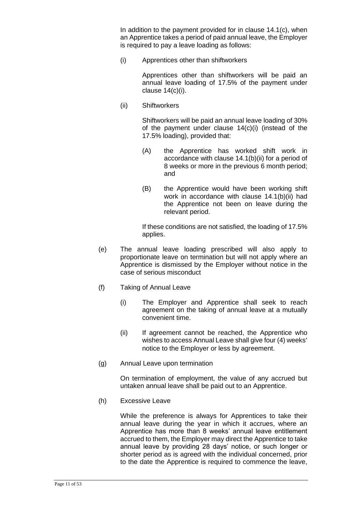In addition to the payment provided for in clause 14.1(c), when an Apprentice takes a period of paid annual leave, the Employer is required to pay a leave loading as follows:

(i) Apprentices other than shiftworkers

Apprentices other than shiftworkers will be paid an annual leave loading of 17.5% of the payment under clause 14(c)(i).

(ii) Shiftworkers

Shiftworkers will be paid an annual leave loading of 30% of the payment under clause 14(c)(i) (instead of the 17.5% loading), provided that:

- (A) the Apprentice has worked shift work in accordance with clause 14.1(b)(ii) for a period of 8 weeks or more in the previous 6 month period; and
- (B) the Apprentice would have been working shift work in accordance with clause 14.1(b)(ii) had the Apprentice not been on leave during the relevant period.

If these conditions are not satisfied, the loading of 17.5% applies.

- (e) The annual leave loading prescribed will also apply to proportionate leave on termination but will not apply where an Apprentice is dismissed by the Employer without notice in the case of serious misconduct
- (f) Taking of Annual Leave
	- (i) The Employer and Apprentice shall seek to reach agreement on the taking of annual leave at a mutually convenient time.
	- (ii) If agreement cannot be reached, the Apprentice who wishes to access Annual Leave shall give four (4) weeks' notice to the Employer or less by agreement.
- (g) Annual Leave upon termination

On termination of employment, the value of any accrued but untaken annual leave shall be paid out to an Apprentice.

(h) Excessive Leave

While the preference is always for Apprentices to take their annual leave during the year in which it accrues, where an Apprentice has more than 8 weeks' annual leave entitlement accrued to them, the Employer may direct the Apprentice to take annual leave by providing 28 days' notice, or such longer or shorter period as is agreed with the individual concerned, prior to the date the Apprentice is required to commence the leave,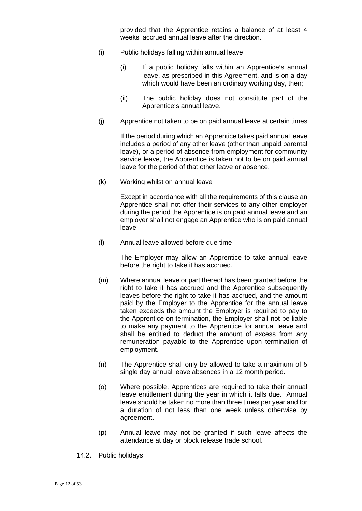provided that the Apprentice retains a balance of at least 4 weeks' accrued annual leave after the direction.

- (i) Public holidays falling within annual leave
	- (i) If a public holiday falls within an Apprentice's annual leave, as prescribed in this Agreement, and is on a day which would have been an ordinary working day, then;
	- (ii) The public holiday does not constitute part of the Apprentice's annual leave.
- (j) Apprentice not taken to be on paid annual leave at certain times

If the period during which an Apprentice takes paid annual leave includes a period of any other leave (other than unpaid parental leave), or a period of absence from employment for community service leave, the Apprentice is taken not to be on paid annual leave for the period of that other leave or absence.

(k) Working whilst on annual leave

Except in accordance with all the requirements of this clause an Apprentice shall not offer their services to any other employer during the period the Apprentice is on paid annual leave and an employer shall not engage an Apprentice who is on paid annual leave.

(l) Annual leave allowed before due time

The Employer may allow an Apprentice to take annual leave before the right to take it has accrued.

- (m) Where annual leave or part thereof has been granted before the right to take it has accrued and the Apprentice subsequently leaves before the right to take it has accrued, and the amount paid by the Employer to the Apprentice for the annual leave taken exceeds the amount the Employer is required to pay to the Apprentice on termination, the Employer shall not be liable to make any payment to the Apprentice for annual leave and shall be entitled to deduct the amount of excess from any remuneration payable to the Apprentice upon termination of employment.
- (n) The Apprentice shall only be allowed to take a maximum of 5 single day annual leave absences in a 12 month period.
- (o) Where possible, Apprentices are required to take their annual leave entitlement during the year in which it falls due. Annual leave should be taken no more than three times per year and for a duration of not less than one week unless otherwise by agreement.
- (p) Annual leave may not be granted if such leave affects the attendance at day or block release trade school.
- 14.2. Public holidays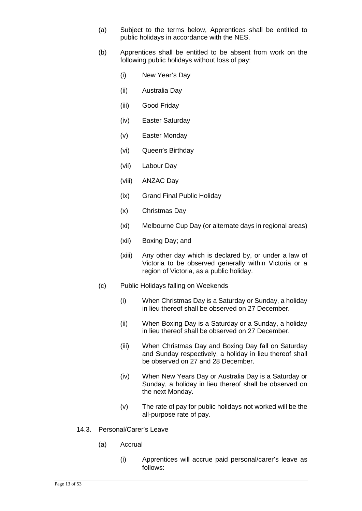- (a) Subject to the terms below, Apprentices shall be entitled to public holidays in accordance with the NES.
- (b) Apprentices shall be entitled to be absent from work on the following public holidays without loss of pay:
	- (i) New Year's Day
	- (ii) Australia Day
	- (iii) Good Friday
	- (iv) Easter Saturday
	- (v) Easter Monday
	- (vi) Queen's Birthday
	- (vii) Labour Day
	- (viii) ANZAC Day
	- (ix) Grand Final Public Holiday
	- (x) Christmas Day
	- (xi) Melbourne Cup Day (or alternate days in regional areas)
	- (xii) Boxing Day; and
	- (xiii) Any other day which is declared by, or under a law of Victoria to be observed generally within Victoria or a region of Victoria, as a public holiday.
- (c) Public Holidays falling on Weekends
	- (i) When Christmas Day is a Saturday or Sunday, a holiday in lieu thereof shall be observed on 27 December.
	- (ii) When Boxing Day is a Saturday or a Sunday, a holiday in lieu thereof shall be observed on 27 December.
	- (iii) When Christmas Day and Boxing Day fall on Saturday and Sunday respectively, a holiday in lieu thereof shall be observed on 27 and 28 December.
	- (iv) When New Years Day or Australia Day is a Saturday or Sunday, a holiday in lieu thereof shall be observed on the next Monday.
	- (v) The rate of pay for public holidays not worked will be the all-purpose rate of pay.
- 14.3. Personal/Carer's Leave
	- (a) Accrual
		- (i) Apprentices will accrue paid personal/carer's leave as follows: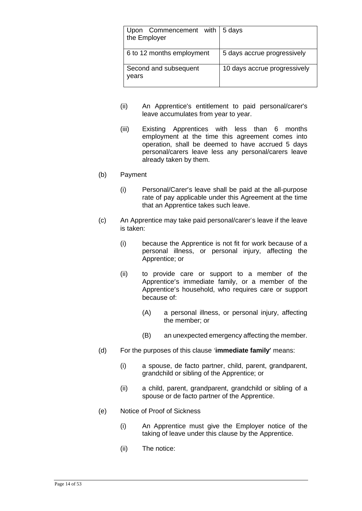| Upon Commencement with   5 days<br>the Employer |                              |
|-------------------------------------------------|------------------------------|
| 6 to 12 months employment                       | 5 days accrue progressively  |
| Second and subsequent<br>vears                  | 10 days accrue progressively |

- (ii) An Apprentice's entitlement to paid personal/carer's leave accumulates from year to year.
- (iii) Existing Apprentices with less than 6 months employment at the time this agreement comes into operation, shall be deemed to have accrued 5 days personal/carers leave less any personal/carers leave already taken by them.
- (b) Payment
	- (i) Personal/Carer's leave shall be paid at the all-purpose rate of pay applicable under this Agreement at the time that an Apprentice takes such leave.
- (c) An Apprentice may take paid personal/carer's leave if the leave is taken:
	- (i) because the Apprentice is not fit for work because of a personal illness, or personal injury, affecting the Apprentice; or
	- (ii) to provide care or support to a member of the Apprentice's immediate family, or a member of the Apprentice's household, who requires care or support because of:
		- (A) a personal illness, or personal injury, affecting the member; or
		- (B) an unexpected emergency affecting the member.
- (d) For the purposes of this clause '**immediate family**' means:
	- (i) a spouse, de facto partner, child, parent, grandparent, grandchild or sibling of the Apprentice; or
	- (ii) a child, parent, grandparent, grandchild or sibling of a spouse or de facto partner of the Apprentice.
- (e) Notice of Proof of Sickness
	- (i) An Apprentice must give the Employer notice of the taking of leave under this clause by the Apprentice.
	- (ii) The notice: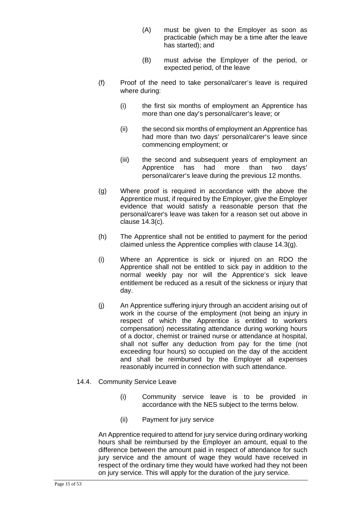- (A) must be given to the Employer as soon as practicable (which may be a time after the leave has started); and
- (B) must advise the Employer of the period, or expected period, of the leave
- (f) Proof of the need to take personal/carer's leave is required where during:
	- (i) the first six months of employment an Apprentice has more than one day's personal/carer's leave; or
	- (ii) the second six months of employment an Apprentice has had more than two days' personal/carer's leave since commencing employment; or
	- (iii) the second and subsequent years of employment an Apprentice has had more than two days' personal/carer's leave during the previous 12 months.
- (g) Where proof is required in accordance with the above the Apprentice must, if required by the Employer, give the Employer evidence that would satisfy a reasonable person that the personal/carer's leave was taken for a reason set out above in clause 14.3(c).
- (h) The Apprentice shall not be entitled to payment for the period claimed unless the Apprentice complies with clause 14.3(g).
- (i) Where an Apprentice is sick or injured on an RDO the Apprentice shall not be entitled to sick pay in addition to the normal weekly pay nor will the Apprentice's sick leave entitlement be reduced as a result of the sickness or injury that day.
- (j) An Apprentice suffering injury through an accident arising out of work in the course of the employment (not being an injury in respect of which the Apprentice is entitled to workers compensation) necessitating attendance during working hours of a doctor, chemist or trained nurse or attendance at hospital, shall not suffer any deduction from pay for the time (not exceeding four hours) so occupied on the day of the accident and shall be reimbursed by the Employer all expenses reasonably incurred in connection with such attendance.

### 14.4. Community Service Leave

- (i) Community service leave is to be provided in accordance with the NES subject to the terms below.
- (ii) Payment for jury service

An Apprentice required to attend for jury service during ordinary working hours shall be reimbursed by the Employer an amount, equal to the difference between the amount paid in respect of attendance for such jury service and the amount of wage they would have received in respect of the ordinary time they would have worked had they not been on jury service. This will apply for the duration of the jury service.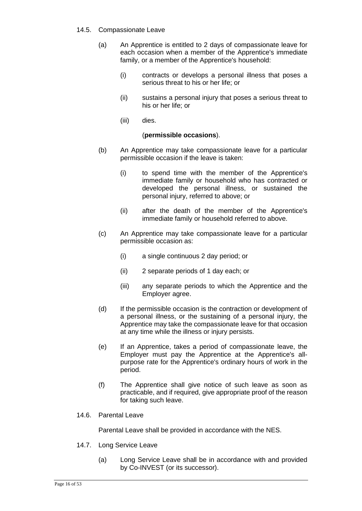- 14.5. Compassionate Leave
	- (a) An Apprentice is entitled to 2 days of [compassionate leave](http://www.austlii.edu.au/au/legis/cth/num_act/fwa2009114/s12.html#compassionate_leave) for each occasion when a member of the Apprentice's [immediate](http://www.austlii.edu.au/au/legis/cth/num_act/fwa2009114/s12.html#immediate_family)  [family,](http://www.austlii.edu.au/au/legis/cth/num_act/fwa2009114/s12.html#immediate_family) or a member of the Apprentice's household:
		- (i) contracts or develops a personal illness that poses a serious threat to his or her life; or
		- (ii) sustains a personal injury that poses a serious threat to his or her life; or
		- (iii) dies.

### (**permissible occasions**).

- (b) An Apprentice may take [compassionate leave](http://www.austlii.edu.au/au/legis/cth/num_act/fwa2009114/s12.html#compassionate_leave) for a particular [permissible occasion](http://www.austlii.edu.au/au/legis/cth/num_act/fwa2009114/s12.html#permissible_occasion) if the leave is taken:
	- (i) to spend time with the member of the Apprentice's immediate family or household who has contracted or developed the personal illness, or sustained the personal injury, referred to above; or
	- (ii) after the death of the member of the Apprentice's [immediate family](http://www.austlii.edu.au/au/legis/cth/num_act/fwa2009114/s12.html#immediate_family) or household referred to above.
- (c) An Apprentice may take compassionate leave for a particular [permissible occasion](http://www.austlii.edu.au/au/legis/cth/num_act/fwa2009114/s12.html#permissible_occasion) as:
	- (i) a single continuous 2 day period; or
	- (ii) 2 separate periods of 1 day each; or
	- (iii) any separate periods to which the Apprentice and the [Employer](http://www.austlii.edu.au/au/legis/cth/num_act/fwa2009114/s12.html#employer) agree.
- (d) If the [permissible occasion](http://www.austlii.edu.au/au/legis/cth/num_act/fwa2009114/s12.html#permissible_occasion) is the contraction or development of a personal illness, or the sustaining of a personal injury, the Apprentice may take the compassionate leave for that occasion at any time while the illness or injury persists.
- (e) If an Apprentice, takes a period of [compassionate leave,](http://www.austlii.edu.au/au/legis/cth/num_act/fwa2009114/s12.html#compassionate_leave) the Employer must pay the Apprentice at the Apprentice's allpurpose rate for the Apprentice's ordinary hours of work in the period.
- (f) The Apprentice shall give notice of such leave as soon as practicable, and if required, give appropriate proof of the reason for taking such leave.
- 14.6. Parental Leave

Parental Leave shall be provided in accordance with the NES.

- 14.7. Long Service Leave
	- (a) Long Service Leave shall be in accordance with and provided by Co-INVEST (or its successor).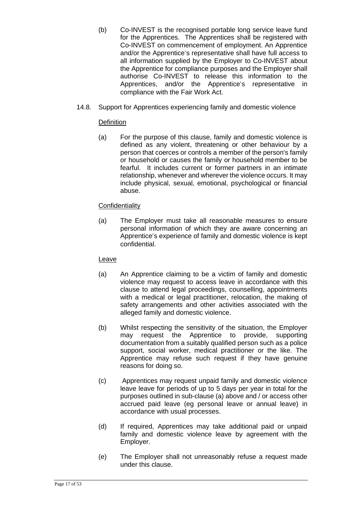- (b) Co-INVEST is the recognised portable long service leave fund for the Apprentices. The Apprentices shall be registered with Co-INVEST on commencement of employment. An Apprentice and/or the Apprentice's representative shall have full access to all information supplied by the Employer to Co-INVEST about the Apprentice for compliance purposes and the Employer shall authorise Co-INVEST to release this information to the Apprentices, and/or the Apprentice's representative in compliance with the Fair Work Act.
- 14.8. Support for Apprentices experiencing family and domestic violence

### **Definition**

(a) For the purpose of this clause, family and domestic violence is defined as any violent, threatening or other behaviour by a person that coerces or controls a member of the person's family or household or causes the family or household member to be fearful. It includes current or former partners in an intimate relationship, whenever and wherever the violence occurs. It may include physical, sexual, emotional, psychological or financial abuse.

### **Confidentiality**

(a) The Employer must take all reasonable measures to ensure personal information of which they are aware concerning an Apprentice's experience of family and domestic violence is kept confidential.

### Leave

- (a) An Apprentice claiming to be a victim of family and domestic violence may request to access leave in accordance with this clause to attend legal proceedings, counselling, appointments with a medical or legal practitioner, relocation, the making of safety arrangements and other activities associated with the alleged family and domestic violence.
- (b) Whilst respecting the sensitivity of the situation, the Employer may request the Apprentice to provide, supporting documentation from a suitably qualified person such as a police support, social worker, medical practitioner or the like. The Apprentice may refuse such request if they have genuine reasons for doing so.
- (c) Apprentices may request unpaid family and domestic violence leave leave for periods of up to 5 days per year in total for the purposes outlined in sub-clause (a) above and / or access other accrued paid leave (eg personal leave or annual leave) in accordance with usual processes.
- (d) If required, Apprentices may take additional paid or unpaid family and domestic violence leave by agreement with the Employer.
- (e) The Employer shall not unreasonably refuse a request made under this clause.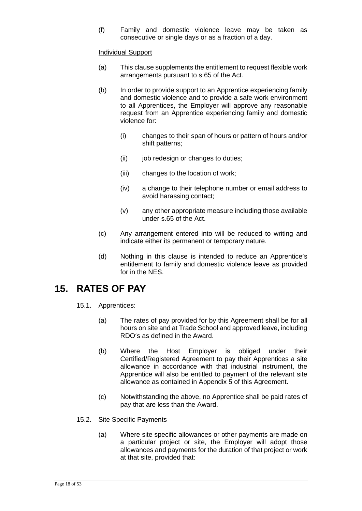(f) Family and domestic violence leave may be taken as consecutive or single days or as a fraction of a day.

### Individual Support

- (a) This clause supplements the entitlement to request flexible work arrangements pursuant to s.65 of the Act.
- (b) In order to provide support to an Apprentice experiencing family and domestic violence and to provide a safe work environment to all Apprentices, the Employer will approve any reasonable request from an Apprentice experiencing family and domestic violence for:
	- (i) changes to their span of hours or pattern of hours and/or shift patterns;
	- (ii) job redesign or changes to duties;
	- (iii) changes to the location of work;
	- (iv) a change to their telephone number or email address to avoid harassing contact;
	- (v) any other appropriate measure including those available under s.65 of the Act.
- (c) Any arrangement entered into will be reduced to writing and indicate either its permanent or temporary nature.
- (d) Nothing in this clause is intended to reduce an Apprentice's entitlement to family and domestic violence leave as provided for in the NES.

### <span id="page-17-0"></span>**15. RATES OF PAY**

- 15.1. Apprentices:
	- (a) The rates of pay provided for by this Agreement shall be for all hours on site and at Trade School and approved leave, including RDO's as defined in the Award.
	- (b) Where the Host Employer is obliged under their Certified/Registered Agreement to pay their Apprentices a site allowance in accordance with that industrial instrument, the Apprentice will also be entitled to payment of the relevant site allowance as contained in Appendix 5 of this Agreement.
	- (c) Notwithstanding the above, no Apprentice shall be paid rates of pay that are less than the Award.
- 15.2. Site Specific Payments
	- (a) Where site specific allowances or other payments are made on a particular project or site, the Employer will adopt those allowances and payments for the duration of that project or work at that site, provided that: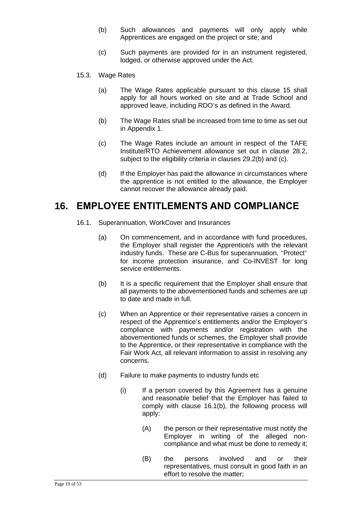- (b) Such allowances and payments will only apply while Apprentices are engaged on the project or site; and
- (c) Such payments are provided for in an instrument registered, lodged, or otherwise approved under the Act.
- 15.3. Wage Rates
	- (a) The Wage Rates applicable pursuant to this clause 15 shall apply for all hours worked on site and at Trade School and approved leave, including RDO's as defined in the Award.
	- (b) The Wage Rates shall be increased from time to time as set out in Appendix 1.
	- (c) The Wage Rates include an amount in respect of the TAFE Institute/RTO Achievement allowance set out in clause 28.2, subject to the eligibility criteria in clauses 29.2(b) and (c).
	- (d) If the Employer has paid the allowance in circumstances where the apprentice is not entitled to the allowance, the Employer cannot recover the allowance already paid.

### <span id="page-18-0"></span>**16. EMPLOYEE ENTITLEMENTS AND COMPLIANCE**

- 16.1. Superannuation, WorkCover and Insurances
	- (a) On commencement, and in accordance with fund procedures, the Employer shall register the Apprentice/s with the relevant industry funds. These are C-Bus for superannuation, "Protect" for income protection insurance, and Co-INVEST for long service entitlements.
	- (b) It is a specific requirement that the Employer shall ensure that all payments to the abovementioned funds and schemes are up to date and made in full.
	- (c) When an Apprentice or their representative raises a concern in respect of the Apprentice's entitlements and/or the Employer's compliance with payments and/or registration with the abovementioned funds or schemes, the Employer shall provide to the Apprentice, or their representative in compliance with the Fair Work Act, all relevant information to assist in resolving any concerns.
	- (d) Failure to make payments to industry funds etc
		- (i) If a person covered by this Agreement has a genuine and reasonable belief that the Employer has failed to comply with clause 16.1(b), the following process will apply:
			- (A) the person or their representative must notify the Employer in writing of the alleged noncompliance and what must be done to remedy it;
			- (B) the persons involved and or their representatives, must consult in good faith in an effort to resolve the matter;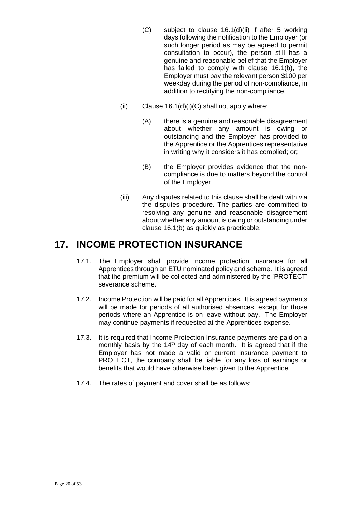- (C) subject to clause 16.1(d)(ii) if after 5 working days following the notification to the Employer (or such longer period as may be agreed to permit consultation to occur), the person still has a genuine and reasonable belief that the Employer has failed to comply with clause 16.1(b), the Employer must pay the relevant person \$100 per weekday during the period of non-compliance, in addition to rectifying the non-compliance.
- (ii) Clause  $16.1(d)(i)(C)$  shall not apply where:
	- (A) there is a genuine and reasonable disagreement about whether any amount is owing or outstanding and the Employer has provided to the Apprentice or the Apprentices representative in writing why it considers it has complied; or;
	- (B) the Employer provides evidence that the noncompliance is due to matters beyond the control of the Employer.
- (iii) Any disputes related to this clause shall be dealt with via the disputes procedure. The parties are committed to resolving any genuine and reasonable disagreement about whether any amount is owing or outstanding under clause 16.1(b) as quickly as practicable.

## <span id="page-19-0"></span>**17. INCOME PROTECTION INSURANCE**

- 17.1. The Employer shall provide income protection insurance for all Apprentices through an ETU nominated policy and scheme. It is agreed that the premium will be collected and administered by the 'PROTECT' severance scheme.
- 17.2. Income Protection will be paid for all Apprentices. It is agreed payments will be made for periods of all authorised absences, except for those periods where an Apprentice is on leave without pay. The Employer may continue payments if requested at the Apprentices expense.
- 17.3. It is required that Income Protection Insurance payments are paid on a monthly basis by the  $14<sup>th</sup>$  day of each month. It is agreed that if the Employer has not made a valid or current insurance payment to PROTECT, the company shall be liable for any loss of earnings or benefits that would have otherwise been given to the Apprentice.
- 17.4. The rates of payment and cover shall be as follows: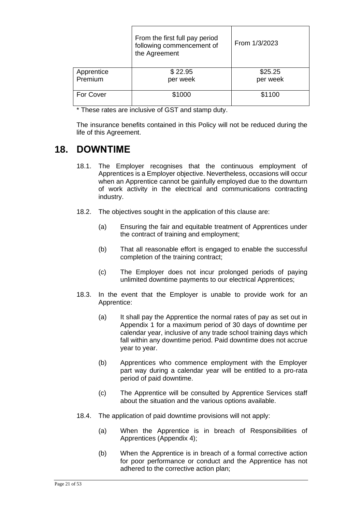|            | From the first full pay period<br>following commencement of<br>the Agreement | From 1/3/2023 |
|------------|------------------------------------------------------------------------------|---------------|
| Apprentice | \$22.95                                                                      | \$25.25       |
| Premium    | per week                                                                     | per week      |
| For Cover  | \$1000                                                                       | \$1100        |

\* These rates are inclusive of GST and stamp duty.

The insurance benefits contained in this Policy will not be reduced during the life of this Agreement.

## <span id="page-20-0"></span>**18. DOWNTIME**

- 18.1. The Employer recognises that the continuous employment of Apprentices is a Employer objective. Nevertheless, occasions will occur when an Apprentice cannot be gainfully employed due to the downturn of work activity in the electrical and communications contracting industry.
- 18.2. The objectives sought in the application of this clause are:
	- (a) Ensuring the fair and equitable treatment of Apprentices under the contract of training and employment;
	- (b) That all reasonable effort is engaged to enable the successful completion of the training contract;
	- (c) The Employer does not incur prolonged periods of paying unlimited downtime payments to our electrical Apprentices;
- 18.3. In the event that the Employer is unable to provide work for an Apprentice:
	- (a) It shall pay the Apprentice the normal rates of pay as set out in Appendix 1 for a maximum period of 30 days of downtime per calendar year, inclusive of any trade school training days which fall within any downtime period. Paid downtime does not accrue year to year.
	- (b) Apprentices who commence employment with the Employer part way during a calendar year will be entitled to a pro-rata period of paid downtime.
	- (c) The Apprentice will be consulted by Apprentice Services staff about the situation and the various options available.
- 18.4. The application of paid downtime provisions will not apply:
	- (a) When the Apprentice is in breach of Responsibilities of Apprentices (Appendix 4);
	- (b) When the Apprentice is in breach of a formal corrective action for poor performance or conduct and the Apprentice has not adhered to the corrective action plan;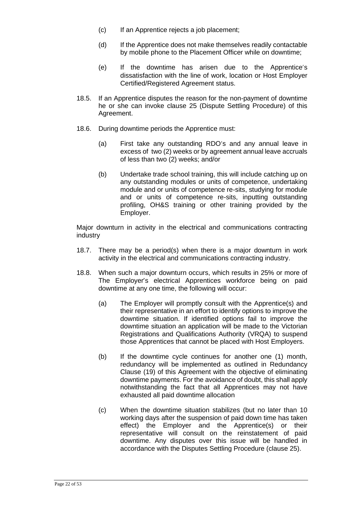- (c) If an Apprentice rejects a job placement;
- (d) If the Apprentice does not make themselves readily contactable by mobile phone to the Placement Officer while on downtime;
- (e) If the downtime has arisen due to the Apprentice's dissatisfaction with the line of work, location or Host Employer Certified/Registered Agreement status.
- 18.5. If an Apprentice disputes the reason for the non-payment of downtime he or she can invoke clause 25 (Dispute Settling Procedure) of this Agreement.
- 18.6. During downtime periods the Apprentice must:
	- (a) First take any outstanding RDO's and any annual leave in excess of two (2) weeks or by agreement annual leave accruals of less than two (2) weeks; and/or
	- (b) Undertake trade school training, this will include catching up on any outstanding modules or units of competence, undertaking module and or units of competence re-sits, studying for module and or units of competence re-sits, inputting outstanding profiling, OH&S training or other training provided by the Employer.

Major downturn in activity in the electrical and communications contracting industry

- 18.7. There may be a period(s) when there is a major downturn in work activity in the electrical and communications contracting industry.
- 18.8. When such a major downturn occurs, which results in 25% or more of The Employer's electrical Apprentices workforce being on paid downtime at any one time, the following will occur:
	- (a) The Employer will promptly consult with the Apprentice(s) and their representative in an effort to identify options to improve the downtime situation. If identified options fail to improve the downtime situation an application will be made to the Victorian Registrations and Qualifications Authority (VRQA) to suspend those Apprentices that cannot be placed with Host Employers.
	- (b) If the downtime cycle continues for another one (1) month, redundancy will be implemented as outlined in Redundancy Clause (19) of this Agreement with the objective of eliminating downtime payments. For the avoidance of doubt, this shall apply notwithstanding the fact that all Apprentices may not have exhausted all paid downtime allocation
	- (c) When the downtime situation stabilizes (but no later than 10 working days after the suspension of paid down time has taken effect) the Employer and the Apprentice(s) or their representative will consult on the reinstatement of paid downtime. Any disputes over this issue will be handled in accordance with the Disputes Settling Procedure (clause 25).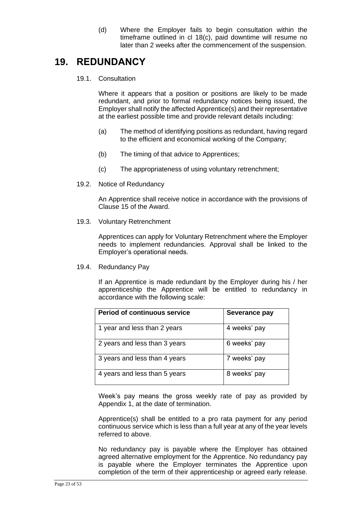(d) Where the Employer fails to begin consultation within the timeframe outlined in cl 18(c), paid downtime will resume no later than 2 weeks after the commencement of the suspension.

## <span id="page-22-0"></span>**19. REDUNDANCY**

19.1. Consultation

Where it appears that a position or positions are likely to be made redundant, and prior to formal redundancy notices being issued, the Employer shall notify the affected Apprentice(s) and their representative at the earliest possible time and provide relevant details including:

- (a) The method of identifying positions as redundant, having regard to the efficient and economical working of the Company;
- (b) The timing of that advice to Apprentices;
- (c) The appropriateness of using voluntary retrenchment;
- 19.2. Notice of Redundancy

An Apprentice shall receive notice in accordance with the provisions of Clause 15 of the Award.

19.3. Voluntary Retrenchment

Apprentices can apply for Voluntary Retrenchment where the Employer needs to implement redundancies. Approval shall be linked to the Employer's operational needs.

19.4. Redundancy Pay

If an Apprentice is made redundant by the Employer during his / her apprenticeship the Apprentice will be entitled to redundancy in accordance with the following scale:

| <b>Period of continuous service</b> | Severance pay |
|-------------------------------------|---------------|
| 1 year and less than 2 years        | 4 weeks' pay  |
| 2 years and less than 3 years       | 6 weeks' pay  |
| 3 years and less than 4 years       | 7 weeks' pay  |
| 4 years and less than 5 years       | 8 weeks' pay  |

Week's pay means the gross weekly rate of pay as provided by Appendix 1, at the date of termination.

Apprentice(s) shall be entitled to a pro rata payment for any period continuous service which is less than a full year at any of the year levels referred to above.

No redundancy pay is payable where the Employer has obtained agreed alternative employment for the Apprentice. No redundancy pay is payable where the Employer terminates the Apprentice upon completion of the term of their apprenticeship or agreed early release.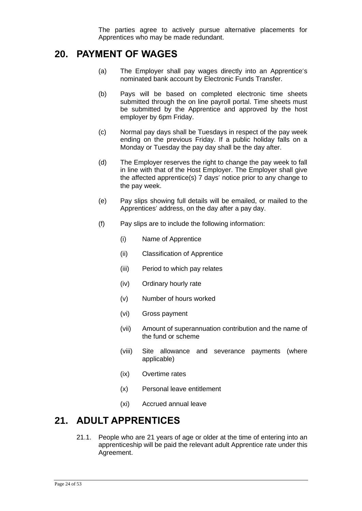The parties agree to actively pursue alternative placements for Apprentices who may be made redundant.

### <span id="page-23-0"></span>**20. PAYMENT OF WAGES**

- (a) The Employer shall pay wages directly into an Apprentice's nominated bank account by Electronic Funds Transfer.
- (b) Pays will be based on completed electronic time sheets submitted through the on line payroll portal. Time sheets must be submitted by the Apprentice and approved by the host employer by 6pm Friday.
- (c) Normal pay days shall be Tuesdays in respect of the pay week ending on the previous Friday. If a public holiday falls on a Monday or Tuesday the pay day shall be the day after.
- (d) The Employer reserves the right to change the pay week to fall in line with that of the Host Employer. The Employer shall give the affected apprentice(s) 7 days' notice prior to any change to the pay week.
- (e) Pay slips showing full details will be emailed, or mailed to the Apprentices' address, on the day after a pay day.
- (f) Pay slips are to include the following information:
	- (i) Name of Apprentice
	- (ii) Classification of Apprentice
	- (iii) Period to which pay relates
	- (iv) Ordinary hourly rate
	- (v) Number of hours worked
	- (vi) Gross payment
	- (vii) Amount of superannuation contribution and the name of the fund or scheme
	- (viii) Site allowance and severance payments (where applicable)
	- (ix) Overtime rates
	- (x) Personal leave entitlement
	- (xi) Accrued annual leave

### <span id="page-23-1"></span>**21. ADULT APPRENTICES**

21.1. People who are 21 years of age or older at the time of entering into an apprenticeship will be paid the relevant adult Apprentice rate under this Agreement.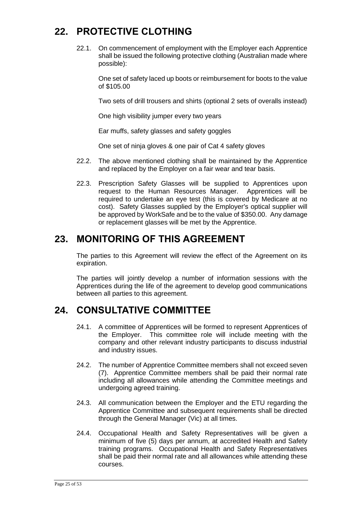## <span id="page-24-0"></span>**22. PROTECTIVE CLOTHING**

22.1. On commencement of employment with the Employer each Apprentice shall be issued the following protective clothing (Australian made where possible):

One set of safety laced up boots or reimbursement for boots to the value of \$105.00

Two sets of drill trousers and shirts (optional 2 sets of overalls instead)

One high visibility jumper every two years

Ear muffs, safety glasses and safety goggles

One set of ninja gloves & one pair of Cat 4 safety gloves

- 22.2. The above mentioned clothing shall be maintained by the Apprentice and replaced by the Employer on a fair wear and tear basis.
- 22.3. Prescription Safety Glasses will be supplied to Apprentices upon request to the Human Resources Manager. Apprentices will be required to undertake an eye test (this is covered by Medicare at no cost). Safety Glasses supplied by the Employer's optical supplier will be approved by WorkSafe and be to the value of \$350.00. Any damage or replacement glasses will be met by the Apprentice.

### <span id="page-24-1"></span>**23. MONITORING OF THIS AGREEMENT**

The parties to this Agreement will review the effect of the Agreement on its expiration.

The parties will jointly develop a number of information sessions with the Apprentices during the life of the agreement to develop good communications between all parties to this agreement.

### <span id="page-24-2"></span>**24. CONSULTATIVE COMMITTEE**

- 24.1. A committee of Apprentices will be formed to represent Apprentices of the Employer. This committee role will include meeting with the company and other relevant industry participants to discuss industrial and industry issues.
- 24.2. The number of Apprentice Committee members shall not exceed seven (7). Apprentice Committee members shall be paid their normal rate including all allowances while attending the Committee meetings and undergoing agreed training.
- 24.3. All communication between the Employer and the ETU regarding the Apprentice Committee and subsequent requirements shall be directed through the General Manager (Vic) at all times.
- 24.4. Occupational Health and Safety Representatives will be given a minimum of five (5) days per annum, at accredited Health and Safety training programs. Occupational Health and Safety Representatives shall be paid their normal rate and all allowances while attending these courses.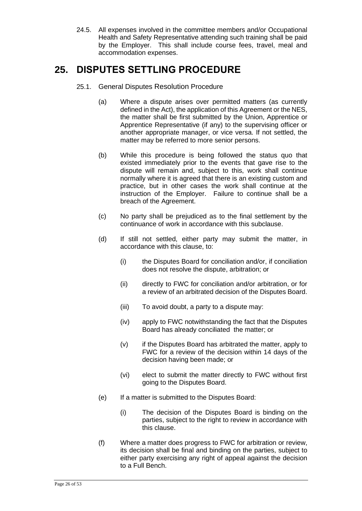24.5. All expenses involved in the committee members and/or Occupational Health and Safety Representative attending such training shall be paid by the Employer. This shall include course fees, travel, meal and accommodation expenses.

## <span id="page-25-0"></span>**25. DISPUTES SETTLING PROCEDURE**

- 25.1. General Disputes Resolution Procedure
	- (a) Where a dispute arises over permitted matters (as currently defined in the Act), the application of this Agreement or the NES, the matter shall be first submitted by the Union, Apprentice or Apprentice Representative (if any) to the supervising officer or another appropriate manager, or vice versa. If not settled, the matter may be referred to more senior persons.
	- (b) While this procedure is being followed the status quo that existed immediately prior to the events that gave rise to the dispute will remain and, subject to this, work shall continue normally where it is agreed that there is an existing custom and practice, but in other cases the work shall continue at the instruction of the Employer. Failure to continue shall be a breach of the Agreement.
	- (c) No party shall be prejudiced as to the final settlement by the continuance of work in accordance with this subclause.
	- (d) If still not settled, either party may submit the matter, in accordance with this clause, to:
		- (i) the Disputes Board for conciliation and/or, if conciliation does not resolve the dispute, arbitration; or
		- (ii) directly to FWC for conciliation and/or arbitration, or for a review of an arbitrated decision of the Disputes Board.
		- (iii) To avoid doubt, a party to a dispute may:
		- (iv) apply to FWC notwithstanding the fact that the Disputes Board has already conciliated the matter; or
		- (v) if the Disputes Board has arbitrated the matter, apply to FWC for a review of the decision within 14 days of the decision having been made; or
		- (vi) elect to submit the matter directly to FWC without first going to the Disputes Board.
	- (e) If a matter is submitted to the Disputes Board:
		- (i) The decision of the Disputes Board is binding on the parties, subject to the right to review in accordance with this clause.
	- (f) Where a matter does pr*o*gress to FWC for arbitration or review, its decision shall be final and binding on the parties, subject to either party exercising any right of appeal against the decision to a Full Bench.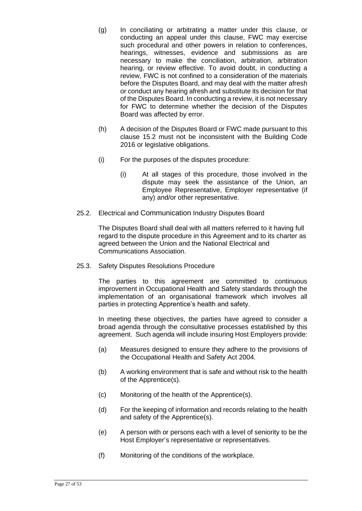- (g) In conciliating or arbitrating a matter under this clause, or conducting an appeal under this clause, FWC may exercise such procedural and other powers in relation to conferences, hearings, witnesses, evidence and submissions as are necessary to make the conciliation, arbitration, arbitration hearing, or review effective. To avoid doubt, in conducting a review, FWC is not confined to a consideration of the materials before the Disputes Board, and may deal with the matter afresh or conduct any hearing afresh and substitute its decision for that of the Disputes Board. In conducting a review, it is not necessary for FWC to determine whether the decision of the Disputes Board was affected by error.
- (h) A decision of the Disputes Board or FWC made pursuant to this clause 15.2 must not be inconsistent with the Building Code 2016 or legislative obligations.
- (i) For the purposes of the disputes procedure:
	- (i) At all stages of this procedure, those involved in the dispute may seek the assistance of the Union, an Employee Representative, Employer representative (if any) and/or other representative.
- 25.2. Electrical and Communication Industry Disputes Board

The Disputes Board shall deal with all matters referred to it having full regard to the dispute procedure in this Agreement and to its charter as agreed between the Union and the National Electrical and Communications Association.

25.3. Safety Disputes Resolutions Procedure

The parties to this agreement are committed to continuous improvement in Occupational Health and Safety standards through the implementation of an organisational framework which involves all parties in protecting Apprentice's health and safety.

In meeting these objectives, the parties have agreed to consider a broad agenda through the consultative processes established by this agreement. Such agenda will include insuring Host Employers provide:

- (a) Measures designed to ensure they adhere to the provisions of the Occupational Health and Safety Act 2004.
- (b) A working environment that is safe and without risk to the health of the Apprentice(s).
- (c) Monitoring of the health of the Apprentice(s).
- (d) For the keeping of information and records relating to the health and safety of the Apprentice(s).
- (e) A person with or persons each with a level of seniority to be the Host Employer's representative or representatives.
- (f) Monitoring of the conditions of the workplace.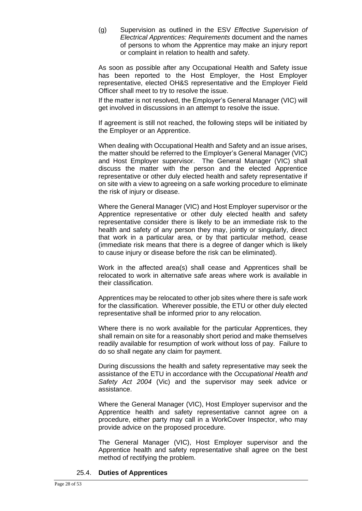(g) Supervision as outlined in the ESV *Effective Supervision of Electrical Apprentices: Requirements* document and the names of persons to whom the Apprentice may make an injury report or complaint in relation to health and safety.

As soon as possible after any Occupational Health and Safety issue has been reported to the Host Employer, the Host Employer representative, elected OH&S representative and the Employer Field Officer shall meet to try to resolve the issue.

If the matter is not resolved, the Employer's General Manager (VIC) will get involved in discussions in an attempt to resolve the issue.

If agreement is still not reached, the following steps will be initiated by the Employer or an Apprentice.

When dealing with Occupational Health and Safety and an issue arises, the matter should be referred to the Employer's General Manager (VIC) and Host Employer supervisor. The General Manager (VIC) shall discuss the matter with the person and the elected Apprentice representative or other duly elected health and safety representative if on site with a view to agreeing on a safe working procedure to eliminate the risk of injury or disease.

Where the General Manager (VIC) and Host Employer supervisor or the Apprentice representative or other duly elected health and safety representative consider there is likely to be an immediate risk to the health and safety of any person they may, jointly or singularly, direct that work in a particular area, or by that particular method, cease (immediate risk means that there is a degree of danger which is likely to cause injury or disease before the risk can be eliminated).

Work in the affected area(s) shall cease and Apprentices shall be relocated to work in alternative safe areas where work is available in their classification.

Apprentices may be relocated to other job sites where there is safe work for the classification. Wherever possible, the ETU or other duly elected representative shall be informed prior to any relocation.

Where there is no work available for the particular Apprentices, they shall remain on site for a reasonably short period and make themselves readily available for resumption of work without loss of pay. Failure to do so shall negate any claim for payment.

During discussions the health and safety representative may seek the assistance of the ETU in accordance with the *Occupational Health and Safety Act 2004* (Vic) and the supervisor may seek advice or assistance.

Where the General Manager (VIC), Host Employer supervisor and the Apprentice health and safety representative cannot agree on a procedure, either party may call in a WorkCover Inspector, who may provide advice on the proposed procedure.

The General Manager (VIC), Host Employer supervisor and the Apprentice health and safety representative shall agree on the best method of rectifying the problem.

### 25.4. **Duties of Apprentices**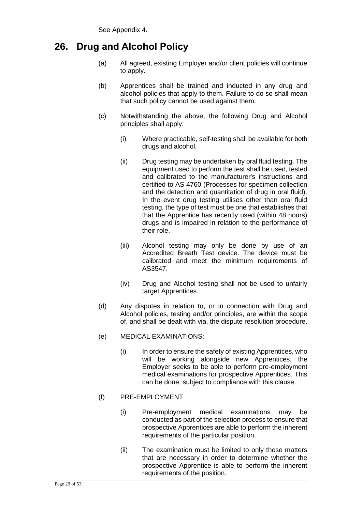## **26. Drug and Alcohol Policy**

- (a) All agreed, existing Employer and/or client policies will continue to apply.
- (b) Apprentices shall be trained and inducted in any drug and alcohol policies that apply to them. Failure to do so shall mean that such policy cannot be used against them.
- (c) Notwithstanding the above, the following Drug and Alcohol principles shall apply:
	- (i) Where practicable, self-testing shall be available for both drugs and alcohol.
	- (ii) Drug testing may be undertaken by oral fluid testing. The equipment used to perform the test shall be used, tested and calibrated to the manufacturer's instructions and certified to AS 4760 (Processes for specimen collection and the detection and quantitation of drug in oral fluid). In the event drug testing utilises other than oral fluid testing, the type of test must be one that establishes that that the Apprentice has recently used (within 48 hours) drugs and is impaired in relation to the performance of their role.
	- (iii) Alcohol testing may only be done by use of an Accredited Breath Test device. The device must be calibrated and meet the minimum requirements of AS3547.
	- (iv) Drug and Alcohol testing shall not be used to unfairly target Apprentices.
- (d) Any disputes in relation to, or in connection with Drug and Alcohol policies, testing and/or principles, are within the scope of, and shall be dealt with via, the dispute resolution procedure.
- (e) MEDICAL EXAMINATIONS:
	- (i) In order to ensure the safety of existing Apprentices, who will be working alongside new Apprentices, the Employer seeks to be able to perform pre-employment medical examinations for prospective Apprentices. This can be done, subject to compliance with this clause.
- (f) PRE-EMPLOYMENT
	- (i) Pre-employment medical examinations may be conducted as part of the selection process to ensure that prospective Apprentices are able to perform the inherent requirements of the particular position.
	- (ii) The examination must be limited to only those matters that are necessary in order to determine whether the prospective Apprentice is able to perform the inherent requirements of the position.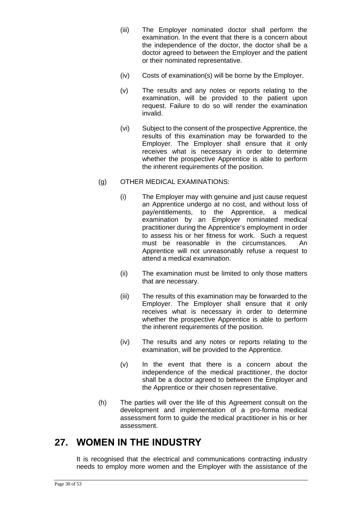- (iii) The Employer nominated doctor shall perform the examination. In the event that there is a concern about the independence of the doctor, the doctor shall be a doctor agreed to between the Employer and the patient or their nominated representative.
- (iv) Costs of examination(s) will be borne by the Employer.
- (v) The results and any notes or reports relating to the examination, will be provided to the patient upon request. Failure to do so will render the examination invalid.
- (vi) Subject to the consent of the prospective Apprentice, the results of this examination may be forwarded to the Employer. The Employer shall ensure that it only receives what is necessary in order to determine whether the prospective Apprentice is able to perform the inherent requirements of the position.
- (g) OTHER MEDICAL EXAMINATIONS:
	- (i) The Employer may with genuine and just cause request an Apprentice undergo at no cost, and without loss of pay/entitlements, to the Apprentice, a medical examination by an Employer nominated medical practitioner during the Apprentice's employment in order to assess his or her fitness for work. Such a request must be reasonable in the circumstances. An Apprentice will not unreasonably refuse a request to attend a medical examination.
	- (ii) The examination must be limited to only those matters that are necessary.
	- (iii) The results of this examination may be forwarded to the Employer. The Employer shall ensure that it only receives what is necessary in order to determine whether the prospective Apprentice is able to perform the inherent requirements of the position.
	- (iv) The results and any notes or reports relating to the examination, will be provided to the Apprentice.
	- (v) In the event that there is a concern about the independence of the medical practitioner, the doctor shall be a doctor agreed to between the Employer and the Apprentice or their chosen representative.
- (h) The parties will over the life of this Agreement consult on the development and implementation of a pro-forma medical assessment form to guide the medical practitioner in his or her assessment.

## <span id="page-29-0"></span>**27. WOMEN IN THE INDUSTRY**

It is recognised that the electrical and communications contracting industry needs to employ more women and the Employer with the assistance of the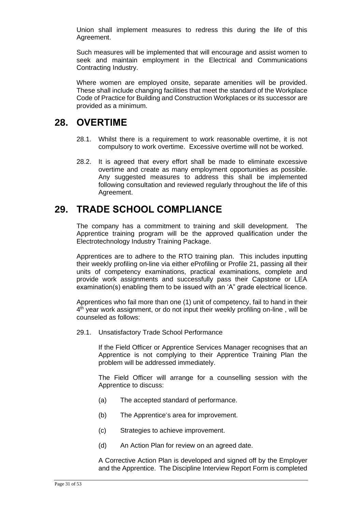Union shall implement measures to redress this during the life of this Agreement.

Such measures will be implemented that will encourage and assist women to seek and maintain employment in the Electrical and Communications Contracting Industry.

Where women are employed onsite, separate amenities will be provided. These shall include changing facilities that meet the standard of the Workplace Code of Practice for Building and Construction Workplaces or its successor are provided as a minimum.

### <span id="page-30-0"></span>**28. OVERTIME**

- 28.1. Whilst there is a requirement to work reasonable overtime, it is not compulsory to work overtime. Excessive overtime will not be worked.
- 28.2. It is agreed that every effort shall be made to eliminate excessive overtime and create as many employment opportunities as possible. Any suggested measures to address this shall be implemented following consultation and reviewed regularly throughout the life of this Agreement.

### <span id="page-30-1"></span>**29. TRADE SCHOOL COMPLIANCE**

The company has a commitment to training and skill development. The Apprentice training program will be the approved qualification under the Electrotechnology Industry Training Package.

Apprentices are to adhere to the RTO training plan. This includes inputting their weekly profiling on-line via either eProfiling or Profile 21, passing all their units of competency examinations, practical examinations, complete and provide work assignments and successfully pass their Capstone or LEA examination(s) enabling them to be issued with an 'A" grade electrical licence.

Apprentices who fail more than one (1) unit of competency, fail to hand in their 4<sup>th</sup> year work assignment, or do not input their weekly profiling on-line, will be counseled as follows:

29.1. Unsatisfactory Trade School Performance

If the Field Officer or Apprentice Services Manager recognises that an Apprentice is not complying to their Apprentice Training Plan the problem will be addressed immediately.

The Field Officer will arrange for a counselling session with the Apprentice to discuss:

- (a) The accepted standard of performance.
- (b) The Apprentice's area for improvement.
- (c) Strategies to achieve improvement.
- (d) An Action Plan for review on an agreed date.

A Corrective Action Plan is developed and signed off by the Employer and the Apprentice. The Discipline Interview Report Form is completed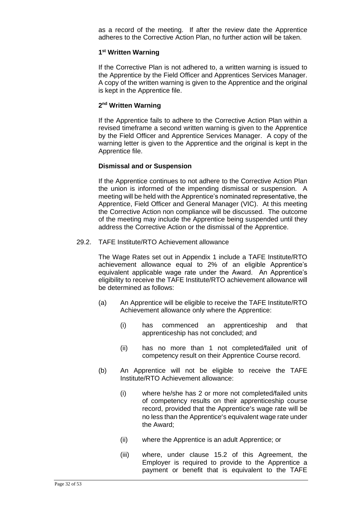as a record of the meeting. If after the review date the Apprentice adheres to the Corrective Action Plan, no further action will be taken.

#### **1 st Written Warning**

If the Corrective Plan is not adhered to, a written warning is issued to the Apprentice by the Field Officer and Apprentices Services Manager. A copy of the written warning is given to the Apprentice and the original is kept in the Apprentice file.

#### **2 nd Written Warning**

If the Apprentice fails to adhere to the Corrective Action Plan within a revised timeframe a second written warning is given to the Apprentice by the Field Officer and Apprentice Services Manager. A copy of the warning letter is given to the Apprentice and the original is kept in the Apprentice file.

#### **Dismissal and or Suspension**

If the Apprentice continues to not adhere to the Corrective Action Plan the union is informed of the impending dismissal or suspension. A meeting will be held with the Apprentice's nominated representative, the Apprentice, Field Officer and General Manager (VIC). At this meeting the Corrective Action non compliance will be discussed. The outcome of the meeting may include the Apprentice being suspended until they address the Corrective Action or the dismissal of the Apprentice.

29.2. TAFE Institute/RTO Achievement allowance

The Wage Rates set out in Appendix 1 include a TAFE Institute/RTO achievement allowance equal to 2% of an eligible Apprentice's equivalent applicable wage rate under the Award. An Apprentice's eligibility to receive the TAFE Institute/RTO achievement allowance will be determined as follows:

- (a) An Apprentice will be eligible to receive the TAFE Institute/RTO Achievement allowance only where the Apprentice:
	- (i) has commenced an apprenticeship and that apprenticeship has not concluded; and
	- (ii) has no more than 1 not completed/failed unit of competency result on their Apprentice Course record.
- (b) An Apprentice will not be eligible to receive the TAFE Institute/RTO Achievement allowance:
	- (i) where he/she has 2 or more not completed/failed units of competency results on their apprenticeship course record, provided that the Apprentice's wage rate will be no less than the Apprentice's equivalent wage rate under the Award;
	- (ii) where the Apprentice is an adult Apprentice; or
	- (iii) where, under clause 15.2 of this Agreement, the Employer is required to provide to the Apprentice a payment or benefit that is equivalent to the TAFE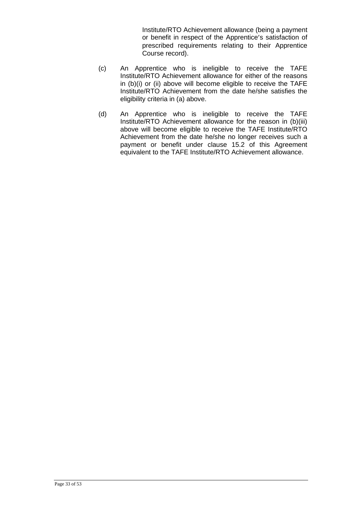Institute/RTO Achievement allowance (being a payment or benefit in respect of the Apprentice's satisfaction of prescribed requirements relating to their Apprentice Course record).

- (c) An Apprentice who is ineligible to receive the TAFE Institute/RTO Achievement allowance for either of the reasons in (b)(i) or (ii) above will become eligible to receive the TAFE Institute/RTO Achievement from the date he/she satisfies the eligibility criteria in (a) above.
- (d) An Apprentice who is ineligible to receive the TAFE Institute/RTO Achievement allowance for the reason in (b)(iii) above will become eligible to receive the TAFE Institute/RTO Achievement from the date he/she no longer receives such a payment or benefit under clause 15.2 of this Agreement equivalent to the TAFE Institute/RTO Achievement allowance.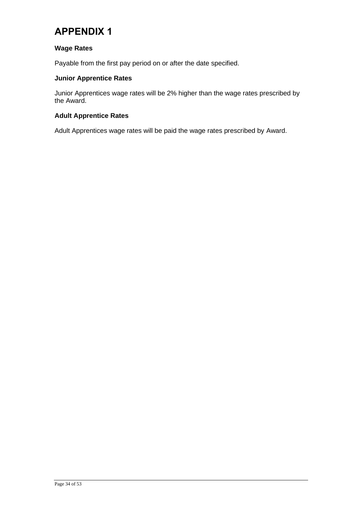## <span id="page-33-0"></span>**APPENDIX 1**

### **Wage Rates**

Payable from the first pay period on or after the date specified.

### **Junior Apprentice Rates**

Junior Apprentices wage rates will be 2% higher than the wage rates prescribed by the Award.

### **Adult Apprentice Rates**

Adult Apprentices wage rates will be paid the wage rates prescribed by Award.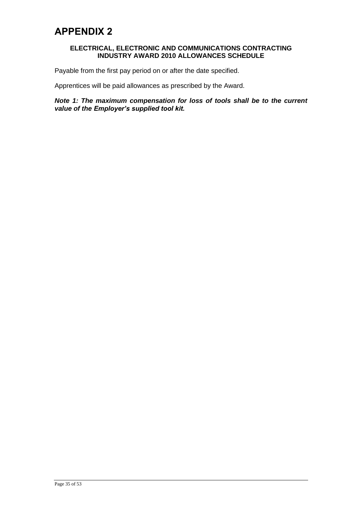#### <span id="page-34-0"></span>**ELECTRICAL, ELECTRONIC AND COMMUNICATIONS CONTRACTING INDUSTRY AWARD 2010 ALLOWANCES SCHEDULE**

Payable from the first pay period on or after the date specified.

Apprentices will be paid allowances as prescribed by the Award.

*Note 1: The maximum compensation for loss of tools shall be to the current value of the Employer's supplied tool kit.*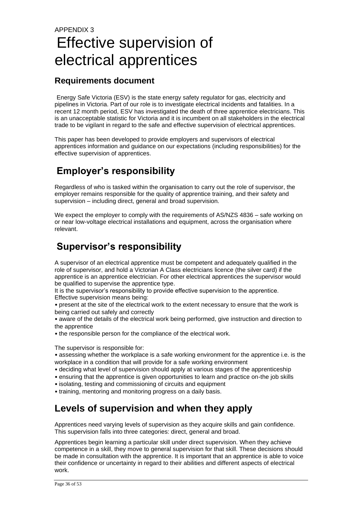## <span id="page-35-0"></span>APPENDIX 3 Effective supervision of electrical apprentices

### **Requirements document**

Energy Safe Victoria (ESV) is the state energy safety regulator for gas, electricity and pipelines in Victoria. Part of our role is to investigate electrical incidents and fatalities. In a recent 12 month period, ESV has investigated the death of three apprentice electricians. This is an unacceptable statistic for Victoria and it is incumbent on all stakeholders in the electrical trade to be vigilant in regard to the safe and effective supervision of electrical apprentices.

This paper has been developed to provide employers and supervisors of electrical apprentices information and guidance on our expectations (including responsibilities) for the effective supervision of apprentices.

## **Employer's responsibility**

Regardless of who is tasked within the organisation to carry out the role of supervisor, the employer remains responsible for the quality of apprentice training, and their safety and supervision – including direct, general and broad supervision.

We expect the employer to comply with the requirements of AS/NZS 4836 – safe working on or near low-voltage electrical installations and equipment, across the organisation where relevant.

## **Supervisor's responsibility**

A supervisor of an electrical apprentice must be competent and adequately qualified in the role of supervisor, and hold a Victorian A Class electricians licence (the silver card) if the apprentice is an apprentice electrician. For other electrical apprentices the supervisor would be qualified to supervise the apprentice type.

It is the supervisor's responsibility to provide effective supervision to the apprentice. Effective supervision means being:

• present at the site of the electrical work to the extent necessary to ensure that the work is being carried out safely and correctly

• aware of the details of the electrical work being performed, give instruction and direction to the apprentice

• the responsible person for the compliance of the electrical work.

The supervisor is responsible for:

• assessing whether the workplace is a safe working environment for the apprentice i.e. is the workplace in a condition that will provide for a safe working environment

- deciding what level of supervision should apply at various stages of the apprenticeship
- ensuring that the apprentice is given opportunities to learn and practice on-the job skills
- isolating, testing and commissioning of circuits and equipment

• training, mentoring and monitoring progress on a daily basis.

## **Levels of supervision and when they apply**

Apprentices need varying levels of supervision as they acquire skills and gain confidence. This supervision falls into three categories: direct, general and broad.

Apprentices begin learning a particular skill under direct supervision. When they achieve competence in a skill, they move to general supervision for that skill. These decisions should be made in consultation with the apprentice. It is important that an apprentice is able to voice their confidence or uncertainty in regard to their abilities and different aspects of electrical work.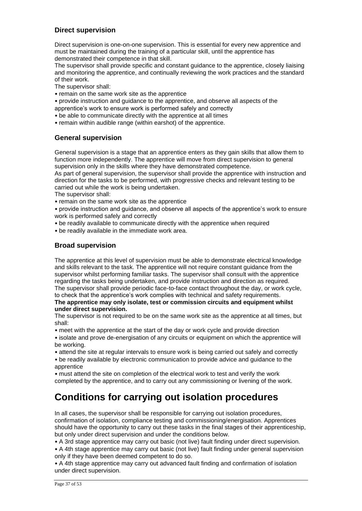### **Direct supervision**

Direct supervision is one-on-one supervision. This is essential for every new apprentice and must be maintained during the training of a particular skill, until the apprentice has demonstrated their competence in that skill.

The supervisor shall provide specific and constant guidance to the apprentice, closely liaising and monitoring the apprentice, and continually reviewing the work practices and the standard of their work.

The supervisor shall:

- remain on the same work site as the apprentice
- provide instruction and guidance to the apprentice, and observe all aspects of the apprentice's work to ensure work is performed safely and correctly
- be able to communicate directly with the apprentice at all times
- remain within audible range (within earshot) of the apprentice.

### **General supervision**

General supervision is a stage that an apprentice enters as they gain skills that allow them to function more independently. The apprentice will move from direct supervision to general supervision only in the skills where they have demonstrated competence.

As part of general supervision, the supervisor shall provide the apprentice with instruction and direction for the tasks to be performed, with progressive checks and relevant testing to be carried out while the work is being undertaken.

The supervisor shall:

• remain on the same work site as the apprentice

• provide instruction and guidance, and observe all aspects of the apprentice's work to ensure work is performed safely and correctly

- be readily available to communicate directly with the apprentice when required
- be readily available in the immediate work area.

### **Broad supervision**

The apprentice at this level of supervision must be able to demonstrate electrical knowledge and skills relevant to the task. The apprentice will not require constant guidance from the supervisor whilst performing familiar tasks. The supervisor shall consult with the apprentice regarding the tasks being undertaken, and provide instruction and direction as required. The supervisor shall provide periodic face-to-face contact throughout the day, or work cycle, to check that the apprentice's work complies with technical and safety requirements.

#### **The apprentice may only isolate, test or commission circuits and equipment whilst under direct supervision.**

The supervisor is not required to be on the same work site as the apprentice at all times, but shall:

• meet with the apprentice at the start of the day or work cycle and provide direction

• isolate and prove de-energisation of any circuits or equipment on which the apprentice will be working.

• attend the site at regular intervals to ensure work is being carried out safely and correctly

• be readily available by electronic communication to provide advice and guidance to the apprentice

• must attend the site on completion of the electrical work to test and verify the work completed by the apprentice, and to carry out any commissioning or livening of the work.

## **Conditions for carrying out isolation procedures**

In all cases, the supervisor shall be responsible for carrying out isolation procedures, confirmation of isolation, compliance testing and commissioning/energisation. Apprentices should have the opportunity to carry out these tasks in the final stages of their apprenticeship, but only under direct supervision and under the conditions below.

• A 3rd stage apprentice may carry out basic (not live) fault finding under direct supervision.

• A 4th stage apprentice may carry out basic (not live) fault finding under general supervision only if they have been deemed competent to do so.

• A 4th stage apprentice may carry out advanced fault finding and confirmation of isolation under direct supervision.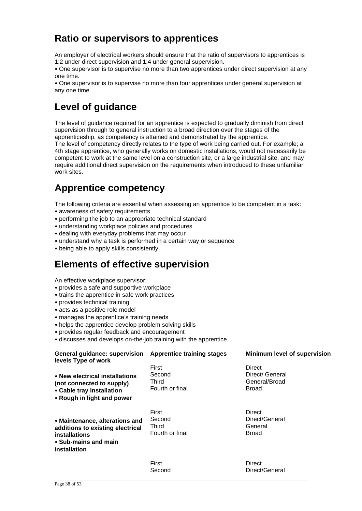## **Ratio or supervisors to apprentices**

An employer of electrical workers should ensure that the ratio of supervisors to apprentices is 1:2 under direct supervision and 1:4 under general supervision.

• One supervisor is to supervise no more than two apprentices under direct supervision at any one time.

• One supervisor is to supervise no more than four apprentices under general supervision at any one time.

## **Level of guidance**

The level of guidance required for an apprentice is expected to gradually diminish from direct supervision through to general instruction to a broad direction over the stages of the apprenticeship, as competency is attained and demonstrated by the apprentice. The level of competency directly relates to the type of work being carried out. For example; a

4th stage apprentice, who generally works on domestic installations, would not necessarily be competent to work at the same level on a construction site, or a large industrial site, and may require additional direct supervision on the requirements when introduced to these unfamiliar work sites.

## **Apprentice competency**

The following criteria are essential when assessing an apprentice to be competent in a task: • awareness of safety requirements

- performing the job to an appropriate technical standard
- understanding workplace policies and procedures
- dealing with everyday problems that may occur
- understand why a task is performed in a certain way or sequence
- being able to apply skills consistently.

### **Elements of effective supervision**

An effective workplace supervisor:

- provides a safe and supportive workplace
- trains the apprentice in safe work practices
- provides technical training
- acts as a positive role model
- manages the apprentice's training needs
- helps the apprentice develop problem solving skills
- provides regular feedback and encouragement
- discusses and develops on-the-job training with the apprentice.

| <b>General guidance: supervision</b><br>levels Type of work                                                                 | <b>Apprentice training stages</b>                  | Minimum level of supervision                               |
|-----------------------------------------------------------------------------------------------------------------------------|----------------------------------------------------|------------------------------------------------------------|
| • New electrical installations<br>(not connected to supply)<br>• Cable tray installation<br>• Rough in light and power      | First<br>Second<br><b>Third</b><br>Fourth or final | Direct<br>Direct/ General<br>General/Broad<br><b>Broad</b> |
| • Maintenance, alterations and<br>additions to existing electrical<br>installations<br>• Sub-mains and main<br>installation | First<br>Second<br>Third<br>Fourth or final        | Direct<br>Direct/General<br>General<br><b>Broad</b>        |
|                                                                                                                             | First                                              | Direct                                                     |

First Second

Direct/General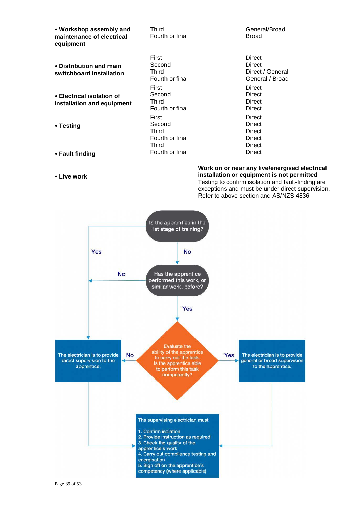• **Workshop assembly and maintenance of electrical equipment** 

• **Distribution and main switchboard installation** 

• **Electrical isolation of installation and equipment** 

• **Testing** 

- **Fault finding**
- **Live work**

Third Fourth or final

First Second Third Fourth or final First Second Third Fourth or final First Second Third Fourth or final **Third** Fourth or final General/Broad Broad

**Direct Direct** Direct / General General / Broad **Direct Direct Direct** Direct **Direct Direct Direct Direct Direct Direct** 

**Work on or near any live/energised electrical installation or equipment is not permitted**  Testing to confirm isolation and fault-finding are exceptions and must be under direct supervision. Refer to above section and AS/NZS 4836



Page 39 of 53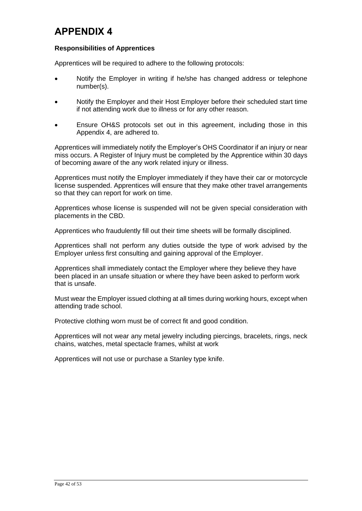## <span id="page-41-0"></span>**APPENDIX 4**

### **Responsibilities of Apprentices**

Apprentices will be required to adhere to the following protocols:

- Notify the Employer in writing if he/she has changed address or telephone number(s).
- Notify the Employer and their Host Employer before their scheduled start time if not attending work due to illness or for any other reason.
- Ensure OH&S protocols set out in this agreement, including those in this Appendix 4, are adhered to.

Apprentices will immediately notify the Employer's OHS Coordinator if an injury or near miss occurs. A Register of Injury must be completed by the Apprentice within 30 days of becoming aware of the any work related injury or illness.

Apprentices must notify the Employer immediately if they have their car or motorcycle license suspended. Apprentices will ensure that they make other travel arrangements so that they can report for work on time.

Apprentices whose license is suspended will not be given special consideration with placements in the CBD.

Apprentices who fraudulently fill out their time sheets will be formally disciplined.

Apprentices shall not perform any duties outside the type of work advised by the Employer unless first consulting and gaining approval of the Employer.

Apprentices shall immediately contact the Employer where they believe they have been placed in an unsafe situation or where they have been asked to perform work that is unsafe.

Must wear the Employer issued clothing at all times during working hours, except when attending trade school.

Protective clothing worn must be of correct fit and good condition.

Apprentices will not wear any metal jewelry including piercings, bracelets, rings, neck chains, watches, metal spectacle frames, whilst at work

Apprentices will not use or purchase a Stanley type knife.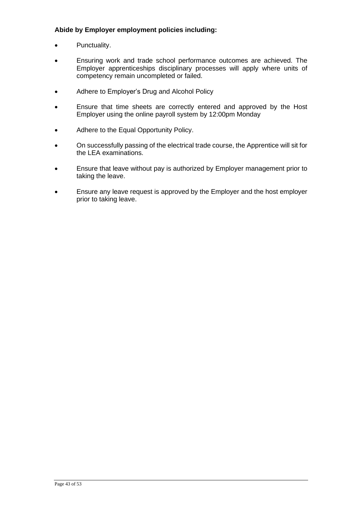### **Abide by Employer employment policies including:**

- Punctuality.
- Ensuring work and trade school performance outcomes are achieved. The Employer apprenticeships disciplinary processes will apply where units of competency remain uncompleted or failed.
- Adhere to Employer's Drug and Alcohol Policy
- Ensure that time sheets are correctly entered and approved by the Host Employer using the online payroll system by 12:00pm Monday
- Adhere to the Equal Opportunity Policy.
- On successfully passing of the electrical trade course, the Apprentice will sit for the LEA examinations.
- Ensure that leave without pay is authorized by Employer management prior to taking the leave.
- Ensure any leave request is approved by the Employer and the host employer prior to taking leave.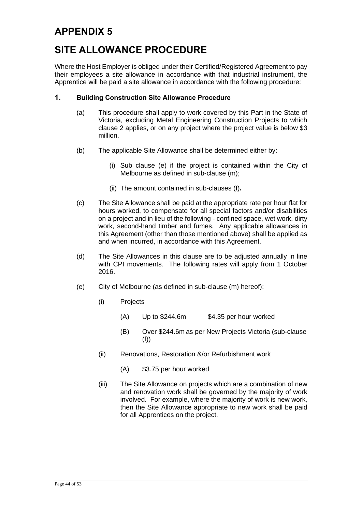## <span id="page-43-0"></span>**SITE ALLOWANCE PROCEDURE**

Where the Host Employer is obliged under their Certified/Registered Agreement to pay their employees a site allowance in accordance with that industrial instrument, the Apprentice will be paid a site allowance in accordance with the following procedure:

### **1. Building Construction Site Allowance Procedure**

- (a) This procedure shall apply to work covered by this Part in the State of Victoria, excluding Metal Engineering Construction Projects to which clause 2 applies, or on any project where the project value is below \$3 million.
- (b) The applicable Site Allowance shall be determined either by:
	- (i) Sub clause (e) if the project is contained within the City of Melbourne as defined in sub-clause (m);
	- (ii) The amount contained in sub-clauses (f)**.**
- (c) The Site Allowance shall be paid at the appropriate rate per hour flat for hours worked, to compensate for all special factors and/or disabilities on a project and in lieu of the following - confined space, wet work, dirty work, second-hand timber and fumes. Any applicable allowances in this Agreement (other than those mentioned above) shall be applied as and when incurred, in accordance with this Agreement.
- (d) The Site Allowances in this clause are to be adjusted annually in line with CPI movements. The following rates will apply from 1 October 2016.
- (e) City of Melbourne (as defined in sub-clause (m) hereof):
	- (i) Projects
		- $(A)$  Up to \$244.6m \$4.35 per hour worked
		- (B) Over \$244.6m as per New Projects Victoria (sub-clause (f))
	- (ii) Renovations, Restoration &/or Refurbishment work
		- (A) \$3.75 per hour worked
	- (iii) The Site Allowance on projects which are a combination of new and renovation work shall be governed by the majority of work involved. For example, where the majority of work is new work, then the Site Allowance appropriate to new work shall be paid for all Apprentices on the project.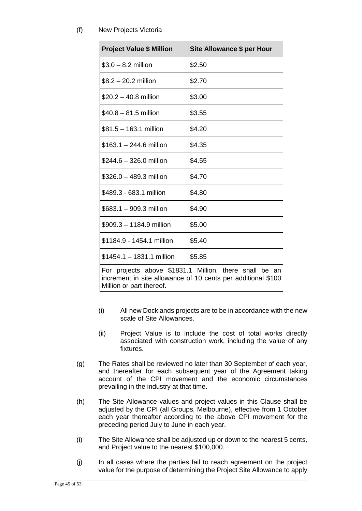(f) New Projects Victoria

| <b>Project Value \$ Million</b> | Site Allowance \$ per Hour                                                                                             |
|---------------------------------|------------------------------------------------------------------------------------------------------------------------|
| $$3.0 - 8.2$ million            | \$2.50                                                                                                                 |
| $$8.2 - 20.2$ million           | \$2.70                                                                                                                 |
| $$20.2 - 40.8$ million          | \$3.00                                                                                                                 |
| $$40.8 - 81.5$ million          | \$3.55                                                                                                                 |
| \$81.5 - 163.1 million          | \$4.20                                                                                                                 |
| \$163.1 – 244.6 million         | \$4.35                                                                                                                 |
| \$244.6 - 326.0 million         | \$4.55                                                                                                                 |
| \$326.0 - 489.3 million         | \$4.70                                                                                                                 |
| \$489.3 - 683.1 million         | \$4.80                                                                                                                 |
| \$683.1 - 909.3 million         | \$4.90                                                                                                                 |
| \$909.3 - 1184.9 million        | \$5.00                                                                                                                 |
| \$1184.9 - 1454.1 million       | \$5.40                                                                                                                 |
| \$1454.1 - 1831.1 million       | \$5.85                                                                                                                 |
| Million or part thereof.        | For projects above \$1831.1 Million, there shall be an<br>increment in site allowance of 10 cents per additional \$100 |

- (i) All new Docklands projects are to be in accordance with the new scale of Site Allowances.
- (ii) Project Value is to include the cost of total works directly associated with construction work, including the value of any fixtures.
- (g) The Rates shall be reviewed no later than 30 September of each year, and thereafter for each subsequent year of the Agreement taking account of the CPI movement and the economic circumstances prevailing in the industry at that time.
- (h) The Site Allowance values and project values in this Clause shall be adjusted by the CPI (all Groups, Melbourne), effective from 1 October each year thereafter according to the above CPI movement for the preceding period July to June in each year.
- (i) The Site Allowance shall be adjusted up or down to the nearest 5 cents, and Project value to the nearest \$100,000.
- (j) In all cases where the parties fail to reach agreement on the project value for the purpose of determining the Project Site Allowance to apply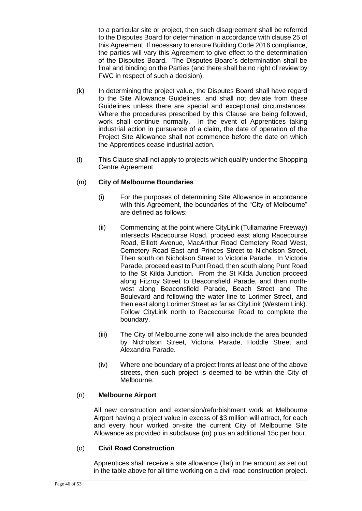to a particular site or project, then such disagreement shall be referred to the Disputes Board for determination in accordance with clause 25 of this Agreement. If necessary to ensure Building Code 2016 compliance, the parties will vary this Agreement to give effect to the determination of the Disputes Board. The Disputes Board's determination shall be final and binding on the Parties (and there shall be no right of review by FWC in respect of such a decision).

- (k) In determining the project value, the Disputes Board shall have regard to the Site Allowance Guidelines, and shall not deviate from these Guidelines unless there are special and exceptional circumstances. Where the procedures prescribed by this Clause are being followed, work shall continue normally. In the event of Apprentices taking industrial action in pursuance of a claim, the date of operation of the Project Site Allowance shall not commence before the date on which the Apprentices cease industrial action.
- (l) This Clause shall not apply to projects which qualify under the Shopping Centre Agreement.

### (m) **City of Melbourne Boundaries**

- (i) For the purposes of determining Site Allowance in accordance with this Agreement, the boundaries of the "City of Melbourne" are defined as follows:
- (ii) Commencing at the point where CityLink (Tullamarine Freeway) intersects Racecourse Road, proceed east along Racecourse Road, Elliott Avenue, MacArthur Road Cemetery Road West, Cemetery Road East and Princes Street to Nicholson Street. Then south on Nicholson Street to Victoria Parade. In Victoria Parade, proceed east to Punt Road, then south along Punt Road to the St Kilda Junction. From the St Kilda Junction proceed along Fitzroy Street to Beaconsfield Parade, and then northwest along Beaconsfield Parade, Beach Street and The Boulevard and following the water line to Lorimer Street, and then east along Lorimer Street as far as CityLink (Western Link). Follow CityLink north to Racecourse Road to complete the boundary.
- (iii) The City of Melbourne zone will also include the area bounded by Nicholson Street, Victoria Parade, Hoddle Street and Alexandra Parade.
- (iv) Where one boundary of a project fronts at least one of the above streets, then such project is deemed to be within the City of Melbourne.

### (n) **Melbourne Airport**

All new construction and extension/refurbishment work at Melbourne Airport having a project value in excess of \$3 million will attract, for each and every hour worked on-site the current City of Melbourne Site Allowance as provided in subclause (m) plus an additional 15c per hour.

### (o) **Civil Road Construction**

Apprentices shall receive a site allowance (flat) in the amount as set out in the table above for all time working on a civil road construction project.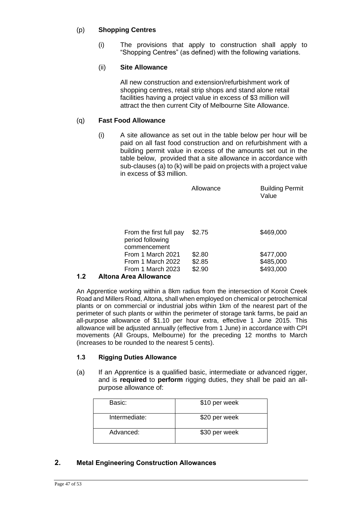### (p) **Shopping Centres**

(i) The provisions that apply to construction shall apply to "Shopping Centres" (as defined) with the following variations.

### (ii) **Site Allowance**

All new construction and extension/refurbishment work of shopping centres, retail strip shops and stand alone retail facilities having a project value in excess of \$3 million will attract the then current City of Melbourne Site Allowance.

### (q) **Fast Food Allowance**

(i) A site allowance as set out in the table below per hour will be paid on all fast food construction and on refurbishment with a building permit value in excess of the amounts set out in the table below, provided that a site allowance in accordance with sub-clauses (a) to (k) will be paid on projects with a project value in excess of \$3 million.

|                                                             | Allowance | <b>Building Permit</b><br>Value |
|-------------------------------------------------------------|-----------|---------------------------------|
| From the first full pay<br>period following<br>commencement | \$2.75    | \$469,000                       |
| From 1 March 2021                                           | \$2.80    | \$477,000                       |
| From 1 March 2022                                           | \$2.85    | \$485,000                       |
| From 1 March 2023                                           | \$2.90    | \$493,000                       |

### **1.2 Altona Area Allowance**

An Apprentice working within a 8km radius from the intersection of Koroit Creek Road and Millers Road, Altona, shall when employed on chemical or petrochemical plants or on commercial or industrial jobs within 1km of the nearest part of the perimeter of such plants or within the perimeter of storage tank farms, be paid an all-purpose allowance of \$1.10 per hour extra, effective 1 June 2015. This allowance will be adjusted annually (effective from 1 June) in accordance with CPI movements (All Groups, Melbourne) for the preceding 12 months to March (increases to be rounded to the nearest 5 cents).

### **1.3 Rigging Duties Allowance**

(a) If an Apprentice is a qualified basic, intermediate or advanced rigger, and is **required** to **perform** rigging duties, they shall be paid an allpurpose allowance of:

| Basic:        | \$10 per week |
|---------------|---------------|
| Intermediate: | \$20 per week |
| Advanced:     | \$30 per week |

### **2. Metal Engineering Construction Allowances**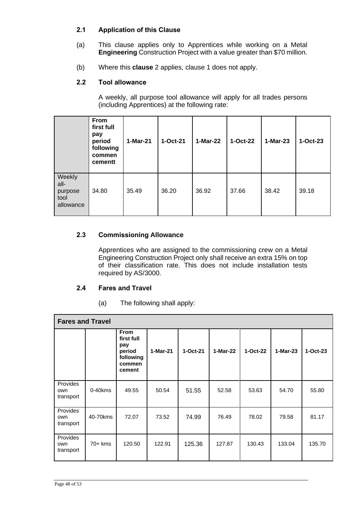### **2.1 Application of this Clause**

- (a) This clause applies only to Apprentices while working on a Metal **Engineering** Construction Project with a value greater than \$70 million.
- (b) Where this **clause** 2 applies, clause 1 does not apply.

### **2.2 Tool allowance**

A weekly, all purpose tool allowance will apply for all trades persons (including Apprentices) at the following rate:

|                                                | From<br>first full<br>pay<br>period<br>following<br>commen<br>cementt | 1-Mar-21 | 1-Oct-21 | 1-Mar-22 | 1-Oct-22 | 1-Mar-23 | $1-Oct-23$ |
|------------------------------------------------|-----------------------------------------------------------------------|----------|----------|----------|----------|----------|------------|
| Weekly<br>all-<br>purpose<br>tool<br>allowance | 34.80                                                                 | 35.49    | 36.20    | 36.92    | 37.66    | 38.42    | 39.18      |

### **2.3 Commissioning Allowance**

Apprentices who are assigned to the commissioning crew on a Metal Engineering Construction Project only shall receive an extra 15% on top of their classification rate. This does not include installation tests required by AS/3000.

### **2.4 Fares and Travel**

(a) The following shall apply:

| <b>Fares and Travel</b>      |            |                                                                             |          |          |          |          |          |            |  |
|------------------------------|------------|-----------------------------------------------------------------------------|----------|----------|----------|----------|----------|------------|--|
|                              |            | <b>From</b><br>first full<br>pay<br>period<br>following<br>commen<br>cement | 1-Mar-21 | 1-Oct-21 | 1-Mar-22 | 1-Oct-22 | 1-Mar-23 | $1-Oct-23$ |  |
| Provides<br>own<br>transport | $0-40$ kms | 49.55                                                                       | 50.54    | 51.55    | 52.58    | 53.63    | 54.70    | 55.80      |  |
| Provides<br>own<br>transport | 40-70kms   | 72.07                                                                       | 73.52    | 74.99    | 76.49    | 78.02    | 79.58    | 81.17      |  |
| Provides<br>own<br>transport | $70+$ kms  | 120.50                                                                      | 122.91   | 125.36   | 127.87   | 130.43   | 133.04   | 135.70     |  |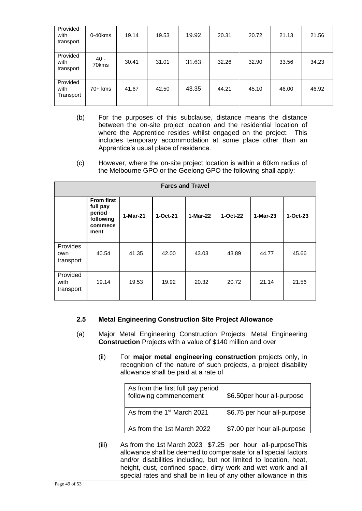| Provided<br>with<br>transport | 0-40kms         | 19.14 | 19.53 | 19.92 | 20.31 | 20.72 | 21.13 | 21.56 |
|-------------------------------|-----------------|-------|-------|-------|-------|-------|-------|-------|
| Provided<br>with<br>transport | $40 -$<br>70kms | 30.41 | 31.01 | 31.63 | 32.26 | 32.90 | 33.56 | 34.23 |
| Provided<br>with<br>Transport | 70+ kms         | 41.67 | 42.50 | 43.35 | 44.21 | 45.10 | 46.00 | 46.92 |

- (b) For the purposes of this subclause, distance means the distance between the on-site project location and the residential location of where the Apprentice resides whilst engaged on the project. This includes temporary accommodation at some place other than an Apprentice's usual place of residence.
- (c) However, where the on-site project location is within a 60km radius of the Melbourne GPO or the Geelong GPO the following shall apply:

| <b>Fares and Travel</b>       |                                                                         |          |          |            |            |          |          |  |  |
|-------------------------------|-------------------------------------------------------------------------|----------|----------|------------|------------|----------|----------|--|--|
|                               | <b>From first</b><br>full pay<br>period<br>following<br>commece<br>ment | 1-Mar-21 | 1-Oct-21 | $1-Mar-22$ | $1-Oct-22$ | 1-Mar-23 | 1-Oct-23 |  |  |
| Provides<br>own<br>transport  | 40.54                                                                   | 41.35    | 42.00    | 43.03      | 43.89      | 44.77    | 45.66    |  |  |
| Provided<br>with<br>transport | 19.14                                                                   | 19.53    | 19.92    | 20.32      | 20.72      | 21.14    | 21.56    |  |  |

### **2.5 Metal Engineering Construction Site Project Allowance**

- (a) Major Metal Engineering Construction Projects: Metal Engineering **Construction** Projects with a value of \$140 million and over
	- (ii) For **major metal engineering construction** projects only, in recognition of the nature of such projects, a project disability allowance shall be paid at a rate of

| As from the first full pay period<br>following commencement | \$6.50per hour all-purpose  |
|-------------------------------------------------------------|-----------------------------|
| As from the 1 <sup>st</sup> March 2021                      | \$6.75 per hour all-purpose |
| As from the 1st March 2022                                  | \$7.00 per hour all-purpose |

(iii) As from the 1st March 2023 \$7.25 per hour all-purposeThis allowance shall be deemed to compensate for all special factors and/or disabilities including, but not limited to location, heat, height, dust, confined space, dirty work and wet work and all special rates and shall be in lieu of any other allowance in this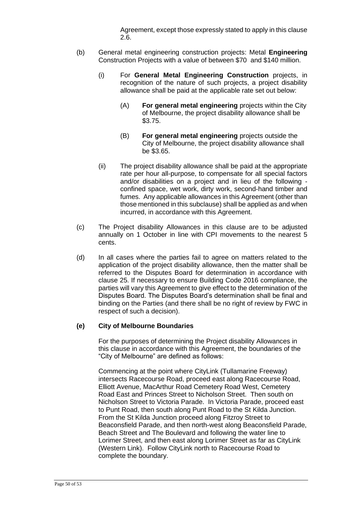Agreement, except those expressly stated to apply in this clause 2.6.

- (b) General metal engineering construction projects: Metal **Engineering** Construction Projects with a value of between \$70 and \$140 million.
	- (i) For **General Metal Engineering Construction** projects, in recognition of the nature of such projects, a project disability allowance shall be paid at the applicable rate set out below:
		- (A) **For general metal engineering** projects within the City of Melbourne, the project disability allowance shall be \$3.75.
		- (B) **For general metal engineering** projects outside the City of Melbourne, the project disability allowance shall be \$3.65.
	- (ii) The project disability allowance shall be paid at the appropriate rate per hour all-purpose, to compensate for all special factors and/or disabilities on a project and in lieu of the following confined space, wet work, dirty work, second-hand timber and fumes. Any applicable allowances in this Agreement (other than those mentioned in this subclause) shall be applied as and when incurred, in accordance with this Agreement.
- (c) The Project disability Allowances in this clause are to be adjusted annually on 1 October in line with CPI movements to the nearest 5 cents.
- (d) In all cases where the parties fail to agree on matters related to the application of the project disability allowance, then the matter shall be referred to the Disputes Board for determination in accordance with clause 25. If necessary to ensure Building Code 2016 compliance, the parties will vary this Agreement to give effect to the determination of the Disputes Board. The Disputes Board's determination shall be final and binding on the Parties (and there shall be no right of review by FWC in respect of such a decision).

#### **(e) City of Melbourne Boundaries**

For the purposes of determining the Project disability Allowances in this clause in accordance with this Agreement, the boundaries of the "City of Melbourne" are defined as follows:

Commencing at the point where CityLink (Tullamarine Freeway) intersects Racecourse Road, proceed east along Racecourse Road, Elliott Avenue, MacArthur Road Cemetery Road West, Cemetery Road East and Princes Street to Nicholson Street. Then south on Nicholson Street to Victoria Parade. In Victoria Parade, proceed east to Punt Road, then south along Punt Road to the St Kilda Junction. From the St Kilda Junction proceed along Fitzroy Street to Beaconsfield Parade, and then north-west along Beaconsfield Parade, Beach Street and The Boulevard and following the water line to Lorimer Street, and then east along Lorimer Street as far as CityLink (Western Link). Follow CityLink north to Racecourse Road to complete the boundary.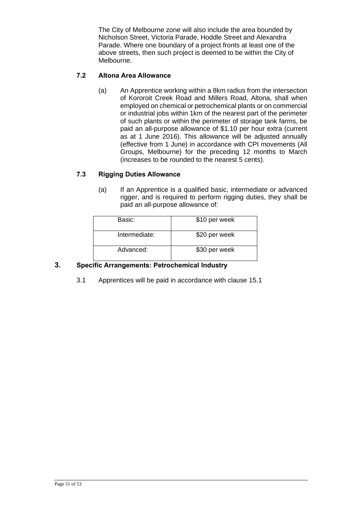The City of Melbourne zone will also include the area bounded by Nicholson Street, Victoria Parade, Hoddle Street and Alexandra Parade. Where one boundary of a project fronts at least one of the above streets, then such project is deemed to be within the City of Melbourne.

### **7.2 Altona Area Allowance**

(a) An Apprentice working within a 8km radius from the intersection of Kororoit Creek Road and Millers Road, Altona, shall when employed on chemical or petrochemical plants or on commercial or industrial jobs within 1km of the nearest part of the perimeter of such plants or within the perimeter of storage tank farms, be paid an all-purpose allowance of \$1.10 per hour extra (current as at 1 June 2016). This allowance will be adjusted annually (effective from 1 June) in accordance with CPI movements (All Groups, Melbourne) for the preceding 12 months to March (increases to be rounded to the nearest 5 cents).

### **7.3 Rigging Duties Allowance**

(a) If an Apprentice is a qualified basic, intermediate or advanced rigger, and is required to perform rigging duties, they shall be paid an all-purpose allowance of:

| Basic:        | \$10 per week |
|---------------|---------------|
| Intermediate: | \$20 per week |
| Advanced:     | \$30 per week |

### **3. Specific Arrangements: Petrochemical Industry**

3.1 Apprentices will be paid in accordance with clause 15.1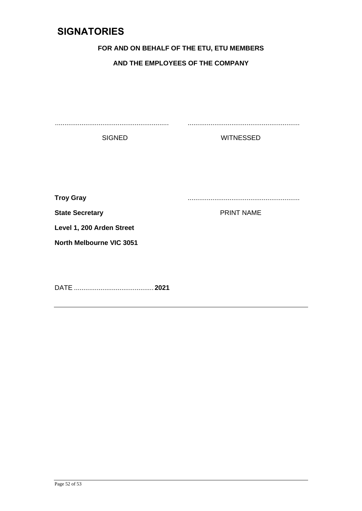### <span id="page-51-0"></span>**SIGNATORIES**

### **FOR AND ON BEHALF OF THE ETU, ETU MEMBERS**

### **AND THE EMPLOYEES OF THE COMPANY**

............................................................ ...........................................................

SIGNED WITNESSED

**Troy Gray** ...........................................................

**State Secretary Contract State Secretary Contract State Secretary Contract State Secretary Contract State Secretary Contract State Secretary Contract State Secretary Contract State Secretary Contract State Secretary Contr** 

**Level 1, 200 Arden Street**

**North Melbourne VIC 3051**

DATE .......................................... **2021**